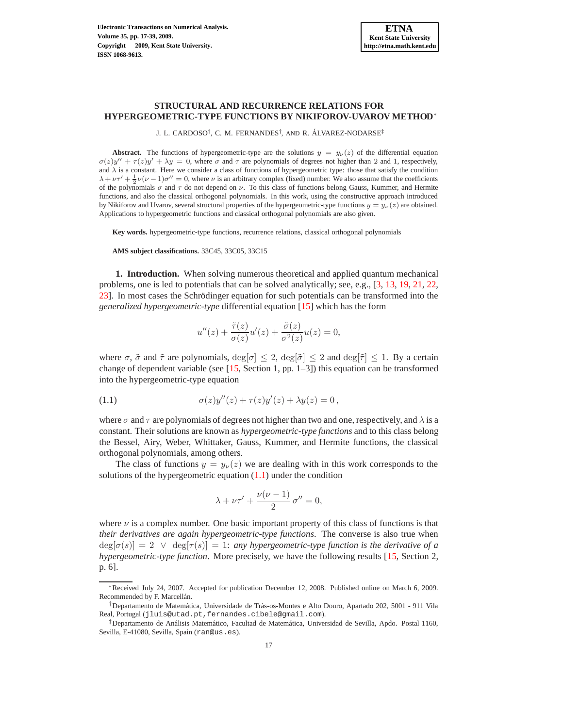### **STRUCTURAL AND RECURRENCE RELATIONS FOR HYPERGEOMETRIC-TYPE FUNCTIONS BY NIKIFOROV-UVAROV METHOD** ∗

J. L. CARDOSO<sup>†</sup>, C. M. FERNANDES<sup>†</sup>, AND R. ÁLVAREZ-NODARSE<sup>‡</sup>

**Abstract.** The functions of hypergeometric-type are the solutions  $y = y_{\nu}(z)$  of the differential equation  $\sigma(z)y'' + \tau(z)y' + \lambda y = 0$ , where  $\sigma$  and  $\tau$  are polynomials of degrees not higher than 2 and 1, respectively, and  $\lambda$  is a constant. Here we consider a class of functions of hypergeometric type: those that satisfy the condition  $\lambda + \nu \tau' + \frac{1}{2} \nu (\nu - 1) \sigma'' = 0$ , where  $\nu$  is an arbitrary complex (fixed) number. We also assume that the coefficients of the polynomials  $\sigma$  and  $\tau$  do not depend on  $\nu$ . To this class of functions belong Gauss, Kummer, and Hermite functions, and also the classical orthogonal polynomials. In this work, using the constructive approach introduced by Nikiforov and Uvarov, several structural properties of the hypergeometric-type functions  $y = y_{\nu}(z)$  are obtained. Applications to hypergeometric functions and classical orthogonal polynomials are also given.

**Key words.** hypergeometric-type functions, recurrence relations, classical orthogonal polynomials

**AMS subject classifications.** 33C45, 33C05, 33C15

<span id="page-0-1"></span>**1. Introduction.** When solving numerous theoretical and applied quantum mechanical problems, one is led to potentials that can be solved analytically; see, e.g., [\[3,](#page-21-0) [13,](#page-21-1) [19,](#page-21-2) [21,](#page-22-0) [22,](#page-22-1) [23\]](#page-22-2). In most cases the Schrödinger equation for such potentials can be transformed into the *generalized hypergeometric-type* differential equation [\[15\]](#page-21-3) which has the form

$$
u''(z) + \frac{\tilde{\tau}(z)}{\sigma(z)}u'(z) + \frac{\tilde{\sigma}(z)}{\sigma^2(z)}u(z) = 0,
$$

where  $\sigma$ ,  $\tilde{\sigma}$  and  $\tilde{\tau}$  are polynomials,  $\deg[\sigma] \leq 2$ ,  $\deg[\tilde{\sigma}] \leq 2$  and  $\deg[\tilde{\tau}] \leq 1$ . By a certain change of dependent variable (see [\[15,](#page-21-3) Section 1, pp. 1–3]) this equation can be transformed into the hypergeometric-type equation

<span id="page-0-0"></span>(1.1) 
$$
\sigma(z)y''(z) + \tau(z)y'(z) + \lambda y(z) = 0,
$$

where  $\sigma$  and  $\tau$  are polynomials of degrees not higher than two and one, respectively, and  $\lambda$  is a constant. Their solutions are known as *hypergeometric-type functions* and to this class belong the Bessel, Airy, Weber, Whittaker, Gauss, Kummer, and Hermite functions, the classical orthogonal polynomials, among others.

The class of functions  $y = y_{\nu}(z)$  we are dealing with in this work corresponds to the solutions of the hypergeometric equation [\(1.1\)](#page-0-0) under the condition

$$
\lambda + \nu \tau' + \frac{\nu(\nu - 1)}{2} \sigma'' = 0,
$$

where  $\nu$  is a complex number. One basic important property of this class of functions is that *their derivatives are again hypergeometric-type functions*. The converse is also true when  $deg[\sigma(s)] = 2 \lor deg[\tau(s)] = 1$ : *any hypergeometric-type function is the derivative of a hypergeometric-type function*. More precisely, we have the following results [\[15,](#page-21-3) Section 2, p. 6].

<sup>∗</sup>Received July 24, 2007. Accepted for publication December 12, 2008. Published online on March 6, 2009. Recommended by F. Marcellán.

<sup>†</sup>Departamento de Matem´atica, Universidade de Tr´as-os-Montes e Alto Douro, Apartado 202, 5001 - 911 Vila Real, Portugal (jluis@utad.pt,fernandes.cibele@gmail.com).

<sup>‡</sup>Departamento de An´alisis Matem´atico, Facultad de Matem´atica, Universidad de Sevilla, Apdo. Postal 1160, Sevilla, E-41080, Sevilla, Spain (ran@us.es).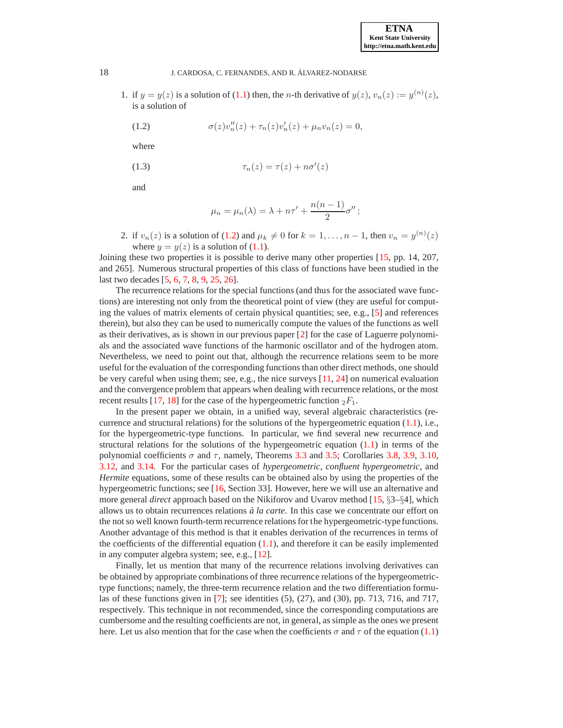1. if  $y = y(z)$  is a solution of [\(1.1\)](#page-0-0) then, the *n*-th derivative of  $y(z)$ ,  $v_n(z) := y^{(n)}(z)$ , is a solution of

<span id="page-1-0"></span>(1.2) 
$$
\sigma(z)v''_n(z) + \tau_n(z)v'_n(z) + \mu_n v_n(z) = 0,
$$

where

<span id="page-1-3"></span>
$$
\tau_n(z) = \tau(z) + n\sigma'(z)
$$

and

$$
\mu_n = \mu_n(\lambda) = \lambda + n\tau' + \frac{n(n-1)}{2}\sigma'';
$$

2. if  $v_n(z)$  is a solution of [\(1.2\)](#page-1-0) and  $\mu_k \neq 0$  for  $k = 1, \ldots, n - 1$ , then  $v_n = y^{(n)}(z)$ where  $y = y(z)$  is a solution of [\(1.1\)](#page-0-0).

<span id="page-1-2"></span>Joining these two properties it is possible to derive many other properties [\[15,](#page-21-3) pp. 14, 207, and 265]. Numerous structural properties of this class of functions have been studied in the last two decades [\[5,](#page-21-4) [6,](#page-21-5) [7,](#page-21-6) [8,](#page-21-7) [9,](#page-21-8) [25,](#page-22-3) [26\]](#page-22-4).

The recurrence relations for the special functions (and thus for the associated wave functions) are interesting not only from the theoretical point of view (they are useful for computing the values of matrix elements of certain physical quantities; see, e.g., [\[5\]](#page-21-4) and references therein), but also they can be used to numerically compute the values of the functions as well as their derivatives, as is shown in our previous paper [\[2\]](#page-21-9) for the case of Laguerre polynomials and the associated wave functions of the harmonic oscillator and of the hydrogen atom. Nevertheless, we need to point out that, although the recurrence relations seem to be more useful for the evaluation of the corresponding functions than other direct methods, one should be very careful when using them; see, e.g., the nice surveys  $[11, 24]$  $[11, 24]$  $[11, 24]$  on numerical evaluation and the convergence problem that appears when dealing with recurrence relations, or the most recent results [\[17,](#page-21-11) [18\]](#page-21-12) for the case of the hypergeometric function  $_2F_1$ .

In the present paper we obtain, in a unified way, several algebraic characteristics (recurrence and structural relations) for the solutions of the hypergeometric equation  $(1.1)$ , i.e., for the hypergeometric-type functions. In particular, we find several new recurrence and structural relations for the solutions of the hypergeometric equation  $(1.1)$  in terms of the polynomial coefficients  $\sigma$  and  $\tau$ , namely, Theorems [3.3](#page-6-0) and [3.5;](#page-7-0) Corollaries [3.8,](#page-10-0) [3.9,](#page-10-1) [3.10,](#page-10-2) [3.12,](#page-11-0) and [3.14.](#page-11-1) For the particular cases of *hypergeometric*, *confluent hypergeometric*, and *Hermite* equations, some of these results can be obtained also by using the properties of the hypergeometric functions; see [\[16,](#page-21-13) Section 33]. However, here we will use an alternative and more general *direct* approach based on the Nikiforov and Uvarov method [\[15,](#page-21-3) §3–§4], which allows us to obtain recurrences relations *a la carte `* . In this case we concentrate our effort on the not so well known fourth-term recurrence relations for the hypergeometric-type functions. Another advantage of this method is that it enables derivation of the recurrences in terms of the coefficients of the differential equation  $(1.1)$ , and therefore it can be easily implemented in any computer algebra system; see, e.g., [\[12\]](#page-21-14).

Finally, let us mention that many of the recurrence relations involving derivatives can be obtained by appropriate combinations of three recurrence relations of the hypergeometrictype functions; namely, the three-term recurrence relation and the two differentiation formulas of these functions given in [\[7\]](#page-21-6); see identities (5), (27), and (30), pp. 713, 716, and 717, respectively. This technique in not recommended, since the corresponding computations are cumbersome and the resulting coefficients are not, in general, as simple as the ones we present here. Let us also mention that for the case when the coefficients  $\sigma$  and  $\tau$  of the equation [\(1.1\)](#page-0-0)

<span id="page-1-1"></span>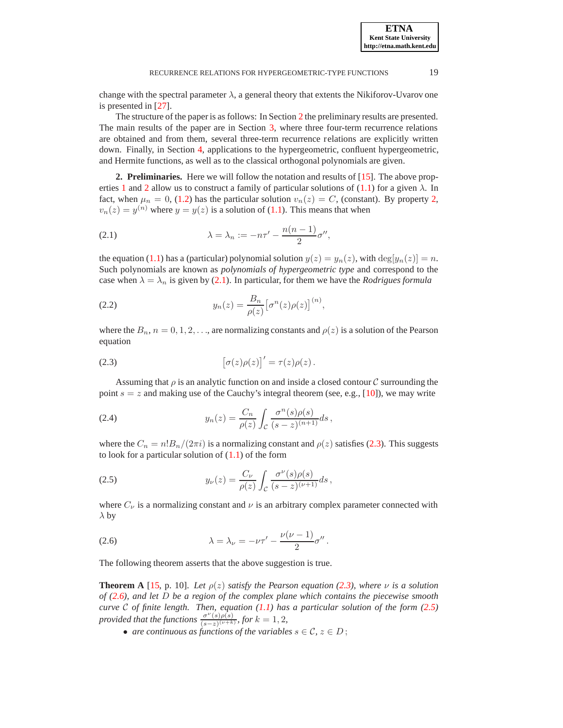**ETNA Kent State University http://etna.math.kent.edu**

change with the spectral parameter  $\lambda$ , a general theory that extents the Nikiforov-Uvarov one is presented in [\[27\]](#page-22-6).

The structure of the paper is as follows: In Section [2](#page-2-0) the preliminary results are presented. The main results of the paper are in Section [3,](#page-3-0) where three four-term recurrence relations are obtained and from them, several three-term recurrence relations are explicitly written down. Finally, in Section [4,](#page-12-0) applications to the hypergeometric, confluent hypergeometric, and Hermite functions, as well as to the classical orthogonal polynomials are given.

<span id="page-2-0"></span>**2. Preliminaries.** Here we will follow the notation and results of [\[15\]](#page-21-3). The above prop-erties [1](#page-1-1) and [2](#page-1-2) allow us to construct a family of particular solutions of  $(1.1)$  for a given  $\lambda$ . In fact, when  $\mu_n = 0$ , [\(1.2\)](#page-1-0) has the particular solution  $v_n(z) = C$ , (constant). By property [2,](#page-1-2)  $v_n(z) = y^{(n)}$  where  $y = y(z)$  is a solution of [\(1.1\)](#page-0-0). This means that when

<span id="page-2-1"></span>(2.1) 
$$
\lambda = \lambda_n := -n\tau' - \frac{n(n-1)}{2}\sigma'',
$$

the equation [\(1.1\)](#page-0-0) has a (particular) polynomial solution  $y(z) = y_n(z)$ , with  $\deg[y_n(z)] = n$ . Such polynomials are known as *polynomials of hypergeometric type* and correspond to the case when  $\lambda = \lambda_n$  is given by [\(2.1\)](#page-2-1). In particular, for them we have the *Rodrigues formula* 

<span id="page-2-5"></span>(2.2) 
$$
y_n(z) = \frac{B_n}{\rho(z)} \big[ \sigma^n(z) \rho(z) \big]^{(n)}
$$

where the  $B_n$ ,  $n = 0, 1, 2, \ldots$ , are normalizing constants and  $\rho(z)$  is a solution of the Pearson equation

,

<span id="page-2-2"></span>(2.3) 
$$
\left[\sigma(z)\rho(z)\right]' = \tau(z)\rho(z).
$$

Assuming that  $\rho$  is an analytic function on and inside a closed contour C surrounding the point  $s = z$  and making use of the Cauchy's integral theorem (see, e.g., [\[10\]](#page-21-15)), we may write

<span id="page-2-6"></span>(2.4) 
$$
y_n(z) = \frac{C_n}{\rho(z)} \int_{\mathcal{C}} \frac{\sigma^n(s)\rho(s)}{(s-z)^{(n+1)}} ds,
$$

where the  $C_n = n!B_n/(2\pi i)$  is a normalizing constant and  $\rho(z)$  satisfies [\(2.3\)](#page-2-2). This suggests to look for a particular solution of  $(1.1)$  of the form

<span id="page-2-4"></span>(2.5) 
$$
y_{\nu}(z) = \frac{C_{\nu}}{\rho(z)} \int_{\mathcal{C}} \frac{\sigma^{\nu}(s)\rho(s)}{(s-z)^{(\nu+1)}} ds,
$$

where  $C_{\nu}$  is a normalizing constant and  $\nu$  is an arbitrary complex parameter connected with  $\lambda$  by

<span id="page-2-3"></span>(2.6) 
$$
\lambda = \lambda_{\nu} = -\nu \tau' - \frac{\nu(\nu - 1)}{2} \sigma''.
$$

The following theorem asserts that the above suggestion is true.

**Theorem A** [\[15,](#page-21-3) p. 10]. Let  $\rho(z)$  *satisfy the Pearson equation* [\(2.3\)](#page-2-2)*, where*  $\nu$  *is a solution of [\(2.6\)](#page-2-3), and let* D *be a region of the complex plane which contains the piecewise smooth curve* C *of finite length. Then, equation [\(1.1\)](#page-0-0) has a particular solution of the form [\(2.5\)](#page-2-4) provided that the functions*  $\frac{\sigma^{\nu}(s)\rho(s)}{(s-z)^{(\nu+k)}},$  *for*  $k = 1, 2$ *,* 

• *are continuous as functions of the variables*  $s \in \mathcal{C}$ ,  $z \in D$ ;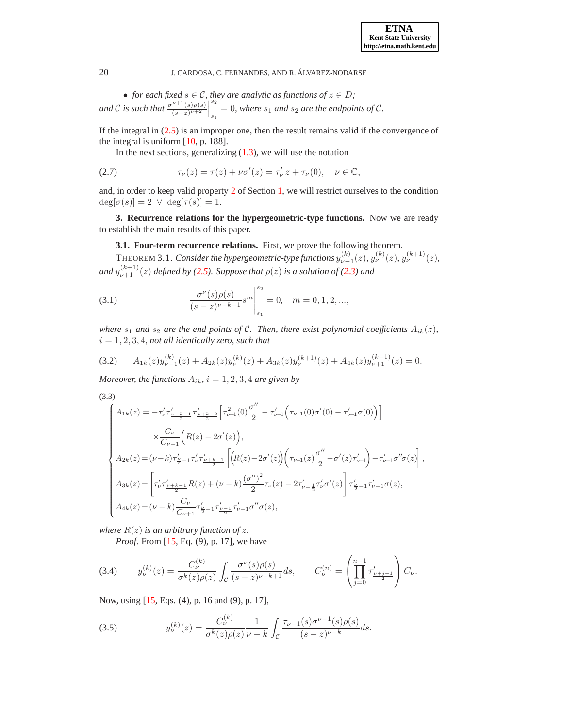• *for each fixed*  $s \in \mathcal{C}$ *, they are analytic as functions of*  $z \in D$ *;* and C is such that  $\frac{\sigma^{\nu+1}(s)\rho(s)}{(s-x)^{\nu+2}}$  $\frac{\nu+1(s)\rho(s)}{(s-z)^{\nu+2}}$  $s<sub>2</sub>$  $s_1 = 0$ , where  $s_1$  and  $s_2$  are the endpoints of C.

If the integral in  $(2.5)$  is an improper one, then the result remains valid if the convergence of the integral is uniform [\[10,](#page-21-15) p. 188].

In the next sections, generalizing  $(1.3)$ , we will use the notation

<span id="page-3-5"></span>(2.7) 
$$
\tau_{\nu}(z) = \tau(z) + \nu \sigma'(z) = \tau'_{\nu} z + \tau_{\nu}(0), \quad \nu \in \mathbb{C},
$$

and, in order to keep valid property [2](#page-1-2) of Section [1,](#page-0-1) we will restrict ourselves to the condition  $deg[\sigma(s)] = 2 \lor deg[\tau(s)] = 1.$ 

<span id="page-3-0"></span>**3. Recurrence relations for the hypergeometric-type functions.** Now we are ready to establish the main results of this paper.

### **3.1. Four-term recurrence relations.** First, we prove the following theorem.

<span id="page-3-7"></span>THEOREM 3.1. *Consider the hypergeometric-type functions*  $y_{\nu-1}^{(k)}(z)$ ,  $y_{\nu}^{(k)}(z)$ ,  $y_{\nu}^{(k+1)}(z)$ , and  $y_{\nu+1}^{(k+1)}(z)$  defined by [\(2.5\)](#page-2-4). Suppose that  $\rho(z)$  is a solution of [\(2.3\)](#page-2-2) and

<span id="page-3-3"></span>(3.1) 
$$
\frac{\sigma^{\nu}(s)\rho(s)}{(s-z)^{\nu-k-1}}s^m\Big|_{s_1}^{s_2}=0, \quad m=0,1,2,...,
$$

*where*  $s_1$  *and*  $s_2$  *are the end points of C. Then, there exist polynomial coefficients*  $A_{ik}(z)$ *,*  $i = 1, 2, 3, 4$ , not all identically zero, such that

<span id="page-3-4"></span>
$$
(3.2) \qquad A_{1k}(z)y_{\nu-1}^{(k)}(z) + A_{2k}(z)y_{\nu}^{(k)}(z) + A_{3k}(z)y_{\nu}^{(k+1)}(z) + A_{4k}(z)y_{\nu+1}^{(k+1)}(z) = 0.
$$

*Moreover, the functions*  $A_{ik}$ ,  $i = 1, 2, 3, 4$  *are given by* 

<span id="page-3-6"></span>(3.3)

$$
\label{eq:11} \begin{cases} A_{1k}(z)=-\tau_{\nu}^{\prime}\tau_{\frac{\nu+k-1}{2}}^{\prime}\tau_{\frac{\nu+k-2}{2}}^{\prime}\Big[\tau_{\nu-1}^{2}(0)\frac{\sigma^{\prime\prime}}{2}-\tau_{\nu-1}^{\prime}\Big(\tau_{\nu-1}(0)\sigma^{\prime}(0)-\tau_{\nu-1}^{\prime}\sigma(0)\Big)\Big]\\ \times\frac{C_{\nu}}{C_{\nu-1}}\Big(R(z)-2\sigma^{\prime}(z)\Big),\\[2mm] A_{2k}(z)\!=\!(\nu-k)\tau_{\frac{\nu}{2}-1}^{\prime}\tau_{\nu}^{\prime}\tau_{\frac{\nu+k-1}{2}}^{\prime}\left[\Big(R(z)-2\sigma^{\prime}(z)\Big)\Big(\tau_{\nu-1}(z)\frac{\sigma^{\prime\prime}}{2}-\sigma^{\prime}(z)\tau_{\nu-1}^{\prime}\Big)-\tau_{\nu-1}^{\prime}\sigma^{\prime\prime}\sigma(z)\right],\\[2mm] A_{3k}(z)\!=\!\left[\tau_{\nu}^{\prime}\tau_{\frac{\nu+k-1}{2}}^{\prime}R(z)+( \nu-k)\frac{(\sigma^{\prime\prime})^{2}}{2}\tau_{\nu}(z)-2\tau_{\nu-\frac{1}{2}}^{\prime}\tau_{\nu}^{\prime}\sigma^{\prime}(z)\right]\tau_{\frac{\nu}{2}-1}^{\prime}\tau_{\nu-1}^{\prime}\sigma(z),\\[2mm] A_{4k}(z)\!=\!(\nu-k)\frac{C_{\nu}}{C_{\nu+1}}\tau_{\frac{\nu}{2}-1}^{\prime}\tau_{\nu-1}^{\prime}\sigma^{\prime\prime}\sigma(z), \end{cases}
$$

*where*  $R(z)$  *is an arbitrary function of z.* 

*Proof.* From [\[15,](#page-21-3) Eq. (9), p. 17], we have

<span id="page-3-1"></span>
$$
(3.4) \t y_{\nu}^{(k)}(z) = \frac{C_{\nu}^{(k)}}{\sigma^k(z)\rho(z)} \int_{\mathcal{C}} \frac{\sigma^{\nu}(s)\rho(s)}{(s-z)^{\nu-k+1}} ds, \t C_{\nu}^{(n)} = \left(\prod_{j=0}^{n-1} \tau'_{\frac{\nu+j-1}{2}}\right) C_{\nu}.
$$

Now, using [\[15,](#page-21-3) Eqs. (4), p. 16 and (9), p. 17],

<span id="page-3-2"></span>(3.5) 
$$
y_{\nu}^{(k)}(z) = \frac{C_{\nu}^{(k)}}{\sigma^k(z)\rho(z)} \frac{1}{\nu - k} \int_{\mathcal{C}} \frac{\tau_{\nu - 1}(s)\sigma^{\nu - 1}(s)\rho(s)}{(s - z)^{\nu - k}} ds.
$$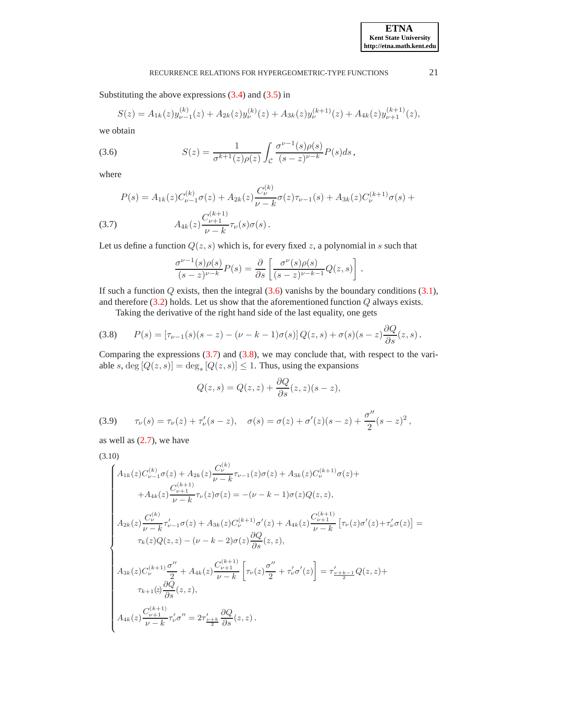Substituting the above expressions  $(3.4)$  and  $(3.5)$  in

$$
S(z) = A_{1k}(z)y_{\nu-1}^{(k)}(z) + A_{2k}(z)y_{\nu}^{(k)}(z) + A_{3k}(z)y_{\nu}^{(k+1)}(z) + A_{4k}(z)y_{\nu+1}^{(k+1)}(z),
$$

we obtain

<span id="page-4-0"></span>(3.6) 
$$
S(z) = \frac{1}{\sigma^{k+1}(z)\rho(z)} \int_{\mathcal{C}} \frac{\sigma^{\nu-1}(s)\rho(s)}{(s-z)^{\nu-k}} P(s) ds,
$$

where

<span id="page-4-1"></span>(3.7) 
$$
P(s) = A_{1k}(z)C_{\nu-1}^{(k)}\sigma(z) + A_{2k}(z)\frac{C_{\nu}^{(k)}}{\nu-k}\sigma(z)\tau_{\nu-1}(s) + A_{3k}(z)C_{\nu}^{(k+1)}\sigma(s) + A_{4k}(z)\frac{C_{\nu+1}^{(k+1)}}{\nu-k}\tau_{\nu}(s)\sigma(s).
$$

Let us define a function  $Q(z, s)$  which is, for every fixed z, a polynomial in s such that

$$
\frac{\sigma^{\nu-1}(s)\rho(s)}{(s-z)^{\nu-k}}P(s) = \frac{\partial}{\partial s}\left[\frac{\sigma^{\nu}(s)\rho(s)}{(s-z)^{\nu-k-1}}Q(z,s)\right].
$$

If such a function  $Q$  exists, then the integral  $(3.6)$  vanishs by the boundary conditions  $(3.1)$ , and therefore  $(3.2)$  holds. Let us show that the aforementioned function  $Q$  always exists.

Taking the derivative of the right hand side of the last equality, one gets

<span id="page-4-2"></span>(3.8) 
$$
P(s) = [\tau_{\nu-1}(s)(s-z) - (\nu - k - 1)\sigma(s)] Q(z, s) + \sigma(s)(s-z) \frac{\partial Q}{\partial s}(z, s).
$$

Comparing the expressions  $(3.7)$  and  $(3.8)$ , we may conclude that, with respect to the variable s,  $\deg [Q(z, s)] = \deg_s [Q(z, s)] \leq 1$ . Thus, using the expansions

$$
Q(z,s) = Q(z,z) + \frac{\partial Q}{\partial s}(z,z)(s-z),
$$

<span id="page-4-4"></span>(3.9) 
$$
\tau_{\nu}(s) = \tau_{\nu}(z) + \tau_{\nu}'(s - z), \quad \sigma(s) = \sigma(z) + \sigma'(z)(s - z) + \frac{\sigma''}{2}(s - z)^2,
$$

as well as  $(2.7)$ , we have

<span id="page-4-3"></span>
$$
(3.10)
$$

$$
\begin{cases}\nA_{1k}(z)C_{\nu-1}^{(k)}\sigma(z) + A_{2k}(z)\frac{C_{\nu}^{(k)}}{\nu-k}\tau_{\nu-1}(z)\sigma(z) + A_{3k}(z)C_{\nu}^{(k+1)}\sigma(z) + \\
\quad + A_{4k}(z)\frac{C_{\nu+1}^{(k+1)}}{\nu-k}\tau_{\nu}(z)\sigma(z) = -( \nu - k - 1 )\sigma(z)Q(z, z), \\
A_{2k}(z)\frac{C_{\nu}^{(k)}}{\nu-k}\tau_{\nu-1}^{'}\sigma(z) + A_{3k}(z)C_{\nu}^{(k+1)}\sigma'(z) + A_{4k}(z)\frac{C_{\nu+1}^{(k+1)}}{\nu-k}\left[\tau_{\nu}(z)\sigma'(z) + \tau_{\nu}^{'}\sigma(z)\right] = \\
\tau_{k}(z)Q(z, z) - (\nu - k - 2 )\sigma(z)\frac{\partial Q}{\partial s}(z, z), \\
A_{3k}(z)C_{\nu}^{(k+1)}\frac{\sigma''}{2} + A_{4k}(z)\frac{C_{\nu+1}^{(k+1)}}{\nu-k}\left[\tau_{\nu}(z)\frac{\sigma''}{2} + \tau_{\nu}^{'}\sigma'(z)\right] = \tau_{\frac{\nu+k-1}{2}}^{'}Q(z, z) + \\
\tau_{k+1}(z)\frac{\partial Q}{\partial s}(z, z), \\
A_{4k}(z)\frac{C_{\nu+1}^{(k+1)}}{\nu-k}\tau_{\nu}^{'}\sigma'' = 2\tau_{\frac{\nu+k}{2}}^{'}\frac{\partial Q}{\partial s}(z, z).\n\end{cases}
$$

**ETNA Kent State University http://etna.math.kent.edu**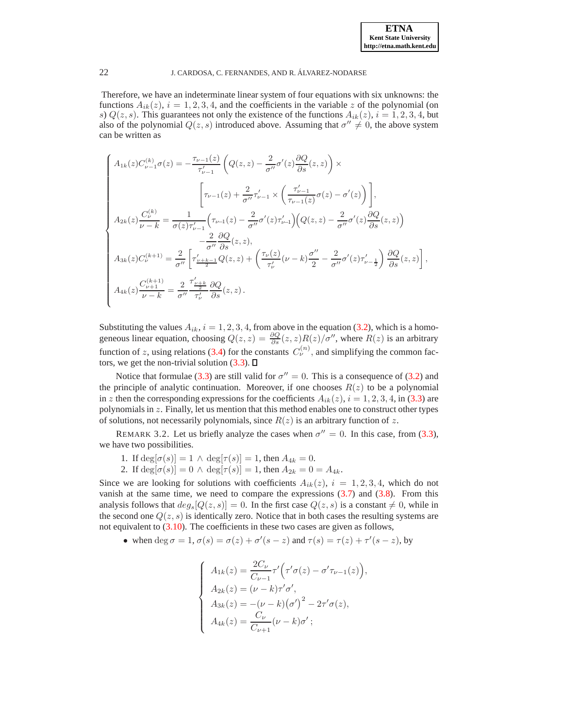Therefore, we have an indeterminate linear system of four equations with six unknowns: the functions  $A_{ik}(z)$ ,  $i = 1, 2, 3, 4$ , and the coefficients in the variable z of the polynomial (on s)  $Q(z, s)$ . This guarantees not only the existence of the functions  $A_{ik}(z)$ ,  $i = 1, 2, 3, 4$ , but also of the polynomial  $Q(z, s)$  introduced above. Assuming that  $\sigma'' \neq 0$ , the above system can be written as

$$
\begin{cases}\nA_{1k}(z)C_{\nu-1}^{(k)}\sigma(z) = -\frac{\tau_{\nu-1}(z)}{\tau_{\nu-1}'}\left(Q(z,z) - \frac{2}{\sigma''}\sigma'(z)\frac{\partial Q}{\partial s}(z,z)\right)\times \\
& \qquad \left[\tau_{\nu-1}(z) + \frac{2}{\sigma''}\tau_{\nu-1}' \times \left(\frac{\tau_{\nu-1}'}{\tau_{\nu-1}(z)}\sigma(z) - \sigma'(z)\right)\right], \\
A_{2k}(z)\frac{C_{\nu}^{(k)}}{\nu-k} = \frac{1}{\sigma(z)\tau_{\nu-1}'}\left(\tau_{\nu-1}(z) - \frac{2}{\sigma''}\sigma'(z)\tau_{\nu-1}'\right)\left(Q(z,z) - \frac{2}{\sigma''}\sigma'(z)\frac{\partial Q}{\partial s}(z,z)\right) \\
& \qquad \left. - \frac{2}{\sigma''}\frac{\partial Q}{\partial s}(z,z),\right.\n\end{cases}
$$
\n
$$
A_{3k}(z)C_{\nu}^{(k+1)} = \frac{2}{\sigma''}\left[\tau_{\frac{\nu+k-1}{2}}'Q(z,z) + \left(\frac{\tau_{\nu}(z)}{\tau_{\nu}'}(\nu-k)\frac{\sigma''}{2} - \frac{2}{\sigma''}\sigma'(z)\tau_{\nu-\frac{1}{2}}'\right)\frac{\partial Q}{\partial s}(z,z)\right],
$$
\n
$$
A_{4k}(z)\frac{C_{\nu+1}^{(k+1)}}{\nu-k} = \frac{2}{\sigma''}\frac{\tau_{\frac{\nu+k}{2}}'}{\tau_{\nu}'}\frac{\partial Q}{\partial s}(z,z).
$$

Substituting the values  $A_{ik}$ ,  $i = 1, 2, 3, 4$ , from above in the equation [\(3.2\)](#page-3-4), which is a homogeneous linear equation, choosing  $Q(z, z) = \frac{\partial Q}{\partial s}(z, z)R(z)/\sigma''$ , where  $R(z)$  is an arbitrary function of z, using relations [\(3.4\)](#page-3-1) for the constants  $C_{\nu}^{(n)}$ , and simplifying the common factors, we get the non-trivial solution  $(3.3)$ .  $\Box$ 

Notice that formulae [\(3.3\)](#page-3-6) are still valid for  $\sigma'' = 0$ . This is a consequence of [\(3.2\)](#page-3-4) and the principle of analytic continuation. Moreover, if one chooses  $R(z)$  to be a polynomial in z then the corresponding expressions for the coefficients  $A_{ik}(z)$ ,  $i = 1, 2, 3, 4$ , in [\(3.3\)](#page-3-6) are polynomials in  $z$ . Finally, let us mention that this method enables one to construct other types of solutions, not necessarily polynomials, since  $R(z)$  is an arbitrary function of z.

<span id="page-5-0"></span>REMARK 3.2. Let us briefly analyze the cases when  $\sigma'' = 0$ . In this case, from [\(3.3\)](#page-3-6), we have two possibilities.

1. If  $deg[\sigma(s)] = 1 \wedge deg[\tau(s)] = 1$ , then  $A_{4k} = 0$ .

2. If  $\deg[\sigma(s)] = 0 \land \deg[\tau(s)] = 1$ , then  $A_{2k} = 0 = A_{4k}$ .

Since we are looking for solutions with coefficients  $A_{ik}(z)$ ,  $i = 1, 2, 3, 4$ , which do not vanish at the same time, we need to compare the expressions [\(3.7\)](#page-4-1) and [\(3.8\)](#page-4-2). From this analysis follows that  $deg_s[Q(z, s)] = 0$ . In the first case  $Q(z, s)$  is a constant  $\neq 0$ , while in the second one  $Q(z, s)$  is identically zero. Notice that in both cases the resulting systems are not equivalent to [\(3.10\)](#page-4-3). The coefficients in these two cases are given as follows,

• when deg  $\sigma = 1$ ,  $\sigma(s) = \sigma(z) + \sigma'(s - z)$  and  $\tau(s) = \tau(z) + \tau'(s - z)$ , by

$$
\begin{cases}\nA_{1k}(z) = \frac{2C_{\nu}}{C_{\nu-1}} \tau' \Big( \tau' \sigma(z) - \sigma' \tau_{\nu-1}(z) \Big), \\
A_{2k}(z) = (\nu - k) \tau' \sigma', \\
A_{3k}(z) = -(\nu - k) (\sigma')^2 - 2\tau' \sigma(z), \\
A_{4k}(z) = \frac{C_{\nu}}{C_{\nu+1}} (\nu - k) \sigma';\n\end{cases}
$$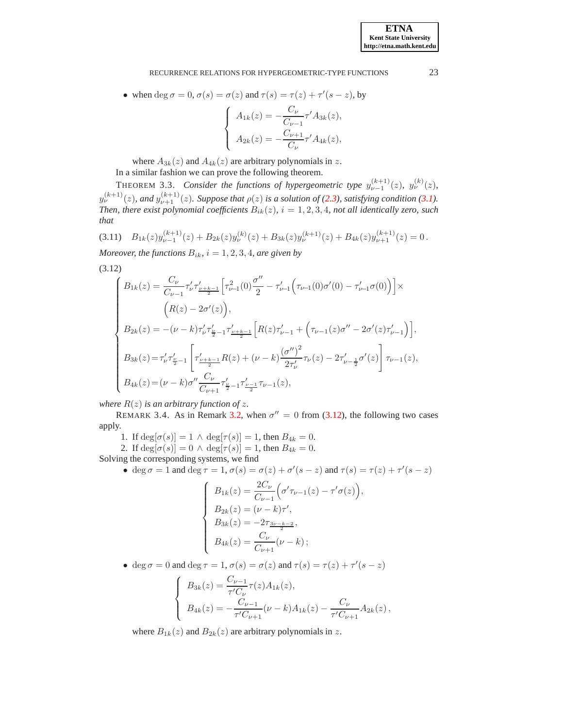• when deg  $\sigma = 0$ ,  $\sigma(s) = \sigma(z)$  and  $\tau(s) = \tau(z) + \tau'(s - z)$ , by

$$
\begin{cases}\nA_{1k}(z) = -\frac{C_{\nu}}{C_{\nu-1}} \tau' A_{3k}(z), \\
A_{2k}(z) = -\frac{C_{\nu+1}}{C_{\nu}} \tau' A_{4k}(z),\n\end{cases}
$$

where  $A_{3k}(z)$  and  $A_{4k}(z)$  are arbitrary polynomials in z.

In a similar fashion we can prove the following theorem.

<span id="page-6-0"></span>THEOREM 3.3. *Consider the functions of hypergeometric type*  $y_{\nu-1}^{(k+1)}(z)$ ,  $y_{\nu}^{(k)}(z)$ ,  $y_{\nu}^{(k+1)}(z)$ , and  $y_{\nu+1}^{(k+1)}(z)$ . Suppose that  $\rho(z)$  is a solution of [\(2.3\)](#page-2-2), satisfying condition [\(3.1\)](#page-3-3). *Then, there exist polynomial coefficients*  $B_{ik}(z)$ *, i* = 1, 2, 3, 4*, not all identically zero, such that*

<span id="page-6-2"></span>
$$
(3.11) \quad B_{1k}(z)y_{\nu-1}^{(k+1)}(z) + B_{2k}(z)y_{\nu}^{(k)}(z) + B_{3k}(z)y_{\nu}^{(k+1)}(z) + B_{4k}(z)y_{\nu+1}^{(k+1)}(z) = 0.
$$

*Moreover, the functions*  $B_{ik}$ *, i* = 1, 2, 3, 4*, are given by* 

<span id="page-6-1"></span>(3.12)

$$
\label{eq:11} \left\{ \begin{aligned} B_{1k}(z)&=\frac{C_{\nu}}{C_{\nu-1}}\tau_{\nu}^{\prime}\tau_{\frac{\nu+k-1}{2}}^{\prime}\Big[\tau_{\nu\!-\!1}^{2}(0)\frac{\sigma^{\prime\prime}}{2}-\tau_{\nu\!-\!1}^{\prime}\Big(\tau_{\nu\!-\!1}(0)\sigma^{\prime}(0)-\tau_{\nu\!-\!1}^{\prime}\sigma(0)\Big)\Big]\times\\ &\qquad \Big(R(z)-2\sigma^{\prime}(z)\Big),\\ B_{2k}(z)&=-(\nu-k)\tau_{\nu}^{\prime}\tau_{\frac{\nu}{2}-1}^{\prime}\tau_{\frac{\nu+k-1}{2}}^{\prime}\Big[R(z)\tau_{\nu-1}^{\prime}+\Big(\tau_{\nu-1}(z)\sigma^{\prime\prime}-2\sigma^{\prime}(z)\tau_{\nu-1}^{\prime}\Big)\Big],\\ B_{3k}(z)&=\tau_{\nu}^{\prime}\tau_{\frac{\nu}{2}-1}^{\prime}\left[\tau_{\frac{\nu+k-1}{2}}^{\prime}R(z)+(\nu-k)\frac{(\sigma^{\prime\prime})^{2}}{2\tau_{\nu}^{\prime}}\tau_{\nu}(z)-2\tau_{\nu-\frac{1}{2}}^{\prime}\sigma^{\prime}(z)\right]\tau_{\nu-1}(z),\\ B_{4k}(z)&=(\nu-k)\sigma^{\prime\prime}\frac{C_{\nu}}{C_{\nu+1}}\tau_{\frac{\nu}{2}-1}^{\prime}\tau_{\frac{\nu-1}{2}}^{\prime}\tau_{\nu-1}(z), \end{aligned} \right.
$$

*where*  $R(z)$  *is an arbitrary function of z.* 

REMARK 3.4. As in Remark [3.2,](#page-5-0) when  $\sigma'' = 0$  from [\(3.12\)](#page-6-1), the following two cases apply.

1. If  $deg[\sigma(s)] = 1 \wedge deg[\tau(s)] = 1$ , then  $B_{4k} = 0$ .

2. If  $\deg[\sigma(s)] = 0 \land \deg[\tau(s)] = 1$ , then  $B_{4k} = 0$ .

Solving the corresponding systems, we find

• deg 
$$
\sigma = 1
$$
 and deg  $\tau = 1$ ,  $\sigma(s) = \sigma(z) + \sigma'(s - z)$  and  $\tau(s) = \tau(z) + \tau'(s - z)$ 

$$
\left\{\begin{array}{l} B_{1k}(z)=\frac{2C_{\nu}}{C_{\nu-1}}\Big(\sigma'\tau_{\nu-1}(z)-\tau'\sigma(z)\Big),\\ B_{2k}(z)=(\nu-k)\tau',\\ B_{3k}(z)=-2\tau_{\frac{3\nu-k-2}{2}},\\ B_{4k}(z)=\frac{C_{\nu}}{C_{\nu+1}}(\nu-k)\,; \end{array}\right.
$$

• deg  $\sigma = 0$  and deg  $\tau = 1$ ,  $\sigma(s) = \sigma(z)$  and  $\tau(s) = \tau(z) + \tau'(s - z)$ 

$$
\begin{cases}\nB_{3k}(z) = \frac{C_{\nu-1}}{\tau' C_{\nu}} \tau(z) A_{1k}(z), \\
B_{4k}(z) = -\frac{C_{\nu-1}}{\tau' C_{\nu+1}} (\nu - k) A_{1k}(z) - \frac{C_{\nu}}{\tau' C_{\nu+1}} A_{2k}(z),\n\end{cases}
$$

where  $B_{1k}(z)$  and  $B_{2k}(z)$  are arbitrary polynomials in z.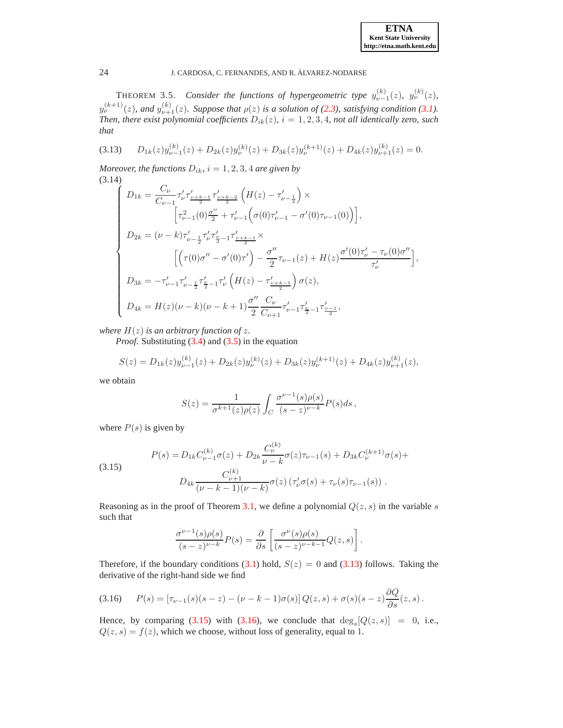| <b>ETNA</b>                  |
|------------------------------|
| <b>Kent State University</b> |
| http://etna.math.kent.edu    |

<span id="page-7-0"></span>THEOREM 3.5. *Consider the functions of hypergeometric type*  $y_{\nu-1}^{(k)}(z)$ ,  $y_{\nu}^{(k)}(z)$ ,  $y_{\nu}^{(k+1)}(z)$ , and  $y_{\nu+1}^{(k)}(z)$ *. Suppose that*  $\rho(z)$  *is a solution of* [\(2.3\)](#page-2-2)*, satisfying condition* [\(3.1\)](#page-3-3)*. Then, there exist polynomial coefficients*  $D_{ik}(z)$ *, i* = 1, 2, 3, 4*, not all identically zero, such that*

<span id="page-7-1"></span>
$$
(3.13) \qquad D_{1k}(z)y_{\nu-1}^{(k)}(z) + D_{2k}(z)y_{\nu}^{(k)}(z) + D_{3k}(z)y_{\nu}^{(k+1)}(z) + D_{4k}(z)y_{\nu+1}^{(k)}(z) = 0.
$$

*Moreover, the functions*  $D_{ik}$ ,  $i = 1, 2, 3, 4$  *are given by* (3.14)

<span id="page-7-4"></span>
$$
\left\{\begin{array}{l} D_{1k}=\frac{C_{\nu}}{C_{\nu-1}}\tau_{\nu}'\tau_{\frac{\nu+k-1}{2}}'\tau_{\frac{\nu+k-2}{2}}'\left(H(z)-\tau_{\nu-\frac{1}{2}}'\right)\times\\ \left[\tau_{\nu-1}^2(0)\frac{\sigma''}{2}+\tau_{\nu-1}'\left(\sigma(0)\tau_{\nu-1}'-\sigma'(0)\tau_{\nu-1}(0)\right)\right],\\[2mm] D_{2k}=(\nu-k)\tau_{\nu-\frac{1}{2}}'\tau_{\nu}'\tau_{\frac{\nu}{2}-1}'\tau_{\frac{\nu+k-1}{2}}'\times\\ \left[\left(\tau(0)\sigma''-\sigma'(0)\tau'\right)-\frac{\sigma''}{2}\tau_{\nu-1}(z)+H(z)\frac{\sigma'(0)\tau_{\nu}'-\tau_{\nu}(0)\sigma''}{\tau_{\nu}'}\right],\\[2mm] D_{3k}=-\tau_{\nu-1}'\tau_{\nu-\frac{1}{2}}'\tau_{\frac{\nu}{2}-1}'\tau_{\nu}'\left(H(z)-\tau_{\frac{\nu+k-1}{2}}'\right)\sigma(z),\\[2mm] D_{4k}=H(z)(\nu-k)(\nu-k+1)\frac{\sigma''}{2}\frac{C_{\nu}}{C_{\nu+1}}\tau_{\nu-1}'\tau_{\frac{\nu}{2}-1}'\tau_{\frac{\nu-1}{2}}', \end{array}\right.
$$

*where*  $H(z)$  *is an arbitrary function of z.* 

*Proof.* Substituting [\(3.4\)](#page-3-1) and [\(3.5\)](#page-3-2) in the equation

$$
S(z) = D_{1k}(z)y_{\nu-1}^{(k)}(z) + D_{2k}(z)y_{\nu}^{(k)}(z) + D_{3k}(z)y_{\nu}^{(k+1)}(z) + D_{4k}(z)y_{\nu+1}^{(k)}(z),
$$

we obtain

$$
S(z) = \frac{1}{\sigma^{k+1}(z)\rho(z)} \int_C \frac{\sigma^{\nu-1}(s)\rho(s)}{(s-z)^{\nu-k}} P(s)ds,
$$

where  $P(s)$  is given by

<span id="page-7-2"></span>(3.15) 
$$
P(s) = D_{1k}C_{\nu-1}^{(k)}\sigma(z) + D_{2k}\frac{C_{\nu}^{(k)}}{\nu - k}\sigma(z)\tau_{\nu-1}(s) + D_{3k}C_{\nu}^{(k+1)}\sigma(s) + D_{4k}\frac{C_{\nu+1}^{(k)}}{(\nu - k - 1)(\nu - k)}\sigma(z)\left(\tau_{\nu}'\sigma(s) + \tau_{\nu}(s)\tau_{\nu-1}(s)\right).
$$

Reasoning as in the proof of Theorem [3.1,](#page-3-7) we define a polynomial  $Q(z, s)$  in the variable s such that

$$
\frac{\sigma^{\nu-1}(s)\rho(s)}{(s-z)^{\nu-k}}P(s)=\frac{\partial}{\partial s}\left[\frac{\sigma^\nu(s)\rho(s)}{(s-z)^{\nu-k-1}}Q(z,s)\right].
$$

Therefore, if the boundary conditions [\(3.1\)](#page-3-3) hold,  $S(z) = 0$  and [\(3.13\)](#page-7-1) follows. Taking the derivative of the right-hand side we find

<span id="page-7-3"></span>(3.16) 
$$
P(s) = [\tau_{\nu-1}(s)(s-z) - (\nu - k - 1)\sigma(s)] Q(z, s) + \sigma(s)(s-z) \frac{\partial Q}{\partial s}(z, s).
$$

Hence, by comparing [\(3.15\)](#page-7-2) with [\(3.16\)](#page-7-3), we conclude that  $deg_s[Q(z, s)] = 0$ , i.e.,  $Q(z, s) = f(z)$ , which we choose, without loss of generality, equal to 1.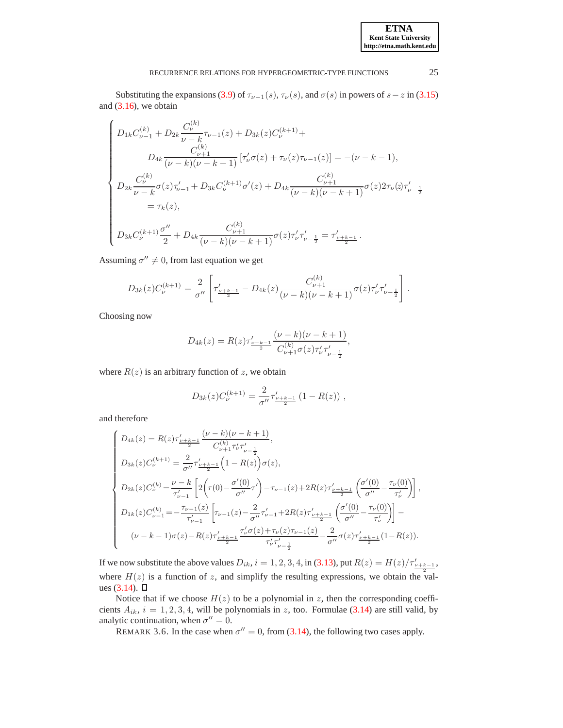Substituting the expansions [\(3.9\)](#page-4-4) of  $\tau_{\nu-1}(s)$ ,  $\tau_{\nu}(s)$ , and  $\sigma(s)$  in powers of  $s-z$  in [\(3.15\)](#page-7-2) and  $(3.16)$ , we obtain

$$
\begin{cases} D_{1k}C_{\nu-1}^{(k)} + D_{2k}\frac{C_{\nu}^{(k)}}{\nu-k}\tau_{\nu-1}(z) + D_{3k}(z)C_{\nu}^{(k+1)} + \\ D_{4k}\frac{C_{\nu+1}^{(k)}}{(\nu-k)(\nu-k+1)}\left[\tau_{\nu}^{\prime}\sigma(z)+\tau_{\nu}(z)\tau_{\nu-1}(z)\right]=-(\nu-k-1),\\[2mm] D_{2k}\frac{C_{\nu}^{(k)}}{\nu-k}\sigma(z)\tau_{\nu-1}^{\prime} + D_{3k}C_{\nu}^{(k+1)}\sigma^{\prime}(z) + D_{4k}\frac{C_{\nu+1}^{(k)}}{(\nu-k)(\nu-k+1)}\sigma(z)2\tau_{\nu}(z)\tau_{\nu-\frac{1}{2}}^{\prime}\\[2mm] =\tau_{k}(z),\\[2mm] D_{3k}C_{\nu}^{(k+1)}\frac{\sigma^{\prime\prime}}{2} + D_{4k}\frac{C_{\nu+1}^{(k)}}{(\nu-k)(\nu-k+1)}\sigma(z)\tau_{\nu}^{\prime}\tau_{\nu-\frac{1}{2}}^{\prime} =\tau_{\frac{\nu+k-1}{2}}^{\prime}. \end{cases}
$$

Assuming  $\sigma'' \neq 0$ , from last equation we get

$$
D_{3k}(z)C_{\nu}^{(k+1)} = \frac{2}{\sigma''}\left[\tau'_{\frac{\nu+k-1}{2}} - D_{4k}(z)\frac{C_{\nu+1}^{(k)}}{(\nu-k)(\nu-k+1)}\sigma(z)\tau'_{\nu}\tau'_{\nu-\frac{1}{2}}\right].
$$

Choosing now

$$
D_{4k}(z) = R(z)\tau'_{\frac{\nu+k-1}{2}}\frac{(\nu-k)(\nu-k+1)}{C_{\nu+1}^{(k)}\sigma(z)\tau'_{\nu}\tau'_{\nu-\frac{1}{2}}},
$$

where  $R(z)$  is an arbitrary function of z, we obtain

$$
D_{3k}(z)C_{\nu}^{(k+1)} = \frac{2}{\sigma''}\tau'_{\frac{\nu+k-1}{2}}(1 - R(z)),
$$

and therefore

$$
\label{eq:2} \left\{ \begin{aligned} &D_{4k}(z)=R(z)\tau'_{\frac{\nu+k-1}{2}}\frac{(\nu-k)(\nu-k+1)}{C_{\nu+1}^{(k)}\tau'_{\nu-\frac{1}{2}}},\\ &D_{3k}(z)C_{\nu}^{(k+1)}=\frac{2}{\sigma''}\tau'_{\frac{\nu+k-1}{2}}\Big(1-R(z)\Big)\sigma(z),\\ &D_{2k}(z)C_{\nu}^{(k)}=\frac{\nu-k}{\tau'_{\nu-1}}\left[2\bigg(\tau(0)-\frac{\sigma'(0)}{\sigma''}\tau'\bigg)-\tau_{\nu-1}(z)+2R(z)\tau'_{\frac{\nu+k-1}{2}}\left(\frac{\sigma'(0)}{\sigma''}-\frac{\tau_{\nu}(0)}{\tau'_{\nu}}\right)\right],\\ &D_{1k}(z)C_{\nu-1}^{(k)}=-\frac{\tau_{\nu-1}(z)}{\tau'_{\nu-1}}\left[\tau_{\nu-1}(z)-\frac{2}{\sigma''}\tau'_{\nu-1}+2R(z)\tau'_{\frac{\nu+k-1}{2}}\left(\frac{\sigma'(0)}{\sigma''}-\frac{\tau_{\nu}(0)}{\tau'_{\nu}}\right)\right]-\\ &(\nu-k-1)\sigma(z)-R(z)\tau'_{\frac{\nu+k-1}{2}}\frac{\tau'_{\nu}\sigma(z)+\tau_{\nu}(z)\tau_{\nu-1}(z)}{\tau'_{\nu}\tau'_{\nu-\frac{1}{2}}}-\frac{2}{\sigma''}\sigma(z)\tau'_{\frac{\nu+k-1}{2}}(1-R(z)). \end{aligned} \right.
$$

If we now substitute the above values  $D_{ik}$ ,  $i = 1, 2, 3, 4$ , in [\(3.13\)](#page-7-1), put  $R(z) = H(z)/\tau'_{\nu+k-1}$ , where  $H(z)$  is a function of z, and simplify the resulting expressions, we obtain the values  $(3.14)$ .  $\Box$ 

Notice that if we choose  $H(z)$  to be a polynomial in z, then the corresponding coefficients  $A_{ik}$ ,  $i = 1, 2, 3, 4$ , will be polynomials in z, too. Formulae [\(3.14\)](#page-7-4) are still valid, by analytic continuation, when  $\sigma'' = 0$ .

REMARK 3.6. In the case when  $\sigma'' = 0$ , from [\(3.14\)](#page-7-4), the following two cases apply.

**ETNA Kent State University http://etna.math.kent.edu**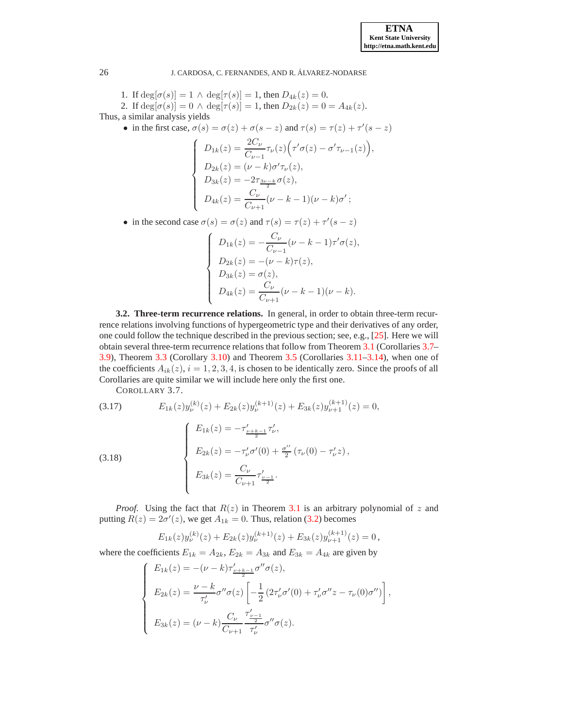1. If  $deg[\sigma(s)] = 1 \wedge deg[\tau(s)] = 1$ , then  $D_{4k}(z) = 0$ .

2. If 
$$
\deg[\sigma(s)] = 0 \wedge \deg[\tau(s)] = 1
$$
, then  $D_{2k}(z) = 0 = A_{4k}(z)$ .

Thus, a similar analysis yields

• in the first case,  $\sigma(s) = \sigma(z) + \sigma(s - z)$  and  $\tau(s) = \tau(z) + \tau'(s - z)$ 

$$
\begin{cases}\nD_{1k}(z) = \frac{2C_{\nu}}{C_{\nu-1}} \tau_{\nu}(z) (\tau' \sigma(z) - \sigma' \tau_{\nu-1}(z)), \\
D_{2k}(z) = (\nu - k) \sigma' \tau_{\nu}(z), \\
D_{3k}(z) = -2 \tau_{\frac{3\nu - k}{2}} \sigma(z), \\
D_{4k}(z) = \frac{C_{\nu}}{C_{\nu+1}} (\nu - k - 1)(\nu - k) \sigma';\n\end{cases}
$$

• in the second case  $\sigma(s) = \sigma(z)$  and  $\tau(s) = \tau(z) + \tau'(s - z)$ 

<span id="page-9-0"></span>
$$
\begin{cases}\nD_{1k}(z) = -\frac{C_{\nu}}{C_{\nu-1}}(\nu - k - 1)\tau'\sigma(z), \\
D_{2k}(z) = -(\nu - k)\tau(z), \\
D_{3k}(z) = \sigma(z), \\
D_{4k}(z) = \frac{C_{\nu}}{C_{\nu+1}}(\nu - k - 1)(\nu - k).\n\end{cases}
$$

**3.2. Three-term recurrence relations.** In general, in order to obtain three-term recurrence relations involving functions of hypergeometric type and their derivatives of any order, one could follow the technique described in the previous section; see, e.g., [\[25\]](#page-22-3). Here we will obtain several three-term recurrence relations that follow from Theorem [3.1](#page-3-7) (Corollaries [3.7–](#page-9-0) [3.9\)](#page-10-1), Theorem [3.3](#page-6-0) (Corollary [3.10\)](#page-10-2) and Theorem [3.5](#page-7-0) (Corollaries [3.11](#page-11-2)[–3.14\)](#page-11-1), when one of the coefficients  $A_{ik}(z)$ ,  $i = 1, 2, 3, 4$ , is chosen to be identically zero. Since the proofs of all Corollaries are quite similar we will include here only the first one.

COROLLARY 3.7.

<span id="page-9-2"></span><span id="page-9-1"></span>(3.17) 
$$
E_{1k}(z)y_{\nu}^{(k)}(z) + E_{2k}(z)y_{\nu}^{(k+1)}(z) + E_{3k}(z)y_{\nu+1}^{(k+1)}(z) = 0,
$$

$$
E_{1k}(z) = -\tau'_{\frac{\nu+k-1}{2}}\tau'_{\nu},
$$

$$
E_{2k}(z) = -\tau'_{\nu}\sigma'(0) + \frac{\sigma''}{2}(\tau_{\nu}(0) - \tau'_{\nu}z),
$$

$$
E_{3k}(z) = \frac{C_{\nu}}{C_{\nu+1}}\tau'_{\frac{\nu-1}{2}}.
$$

*Proof.* Using the fact that  $R(z)$  in Theorem [3.1](#page-3-7) is an arbitrary polynomial of z and putting  $R(z) = 2\sigma'(z)$ , we get  $A_{1k} = 0$ . Thus, relation [\(3.2\)](#page-3-4) becomes

$$
E_{1k}(z)y_{\nu}^{(k)}(z) + E_{2k}(z)y_{\nu}^{(k+1)}(z) + E_{3k}(z)y_{\nu+1}^{(k+1)}(z) = 0,
$$

where the coefficients  $E_{1k} = A_{2k}$ ,  $E_{2k} = A_{3k}$  and  $E_{3k} = A_{4k}$  are given by

$$
\left\{\begin{array}{l} E_{1k}(z)=-(\nu-k)\tau'_{\frac{\nu+k-1}{2}}\sigma''\sigma(z),\\ \\ E_{2k}(z)=\frac{\nu-k}{\tau'_{\nu}}\sigma''\sigma(z)\left[-\frac{1}{2}\left(2\tau'_{\nu}\sigma'(0)+\tau'_{\nu}\sigma''z-\tau_{\nu}(0)\sigma''\right)\right],\\ \\ E_{3k}(z)=(\nu-k)\frac{C_{\nu}}{C_{\nu+1}}\frac{\tau'_{\frac{\nu-1}{2}}}{\tau'_{\nu}}\sigma''\sigma(z).\end{array}\right.
$$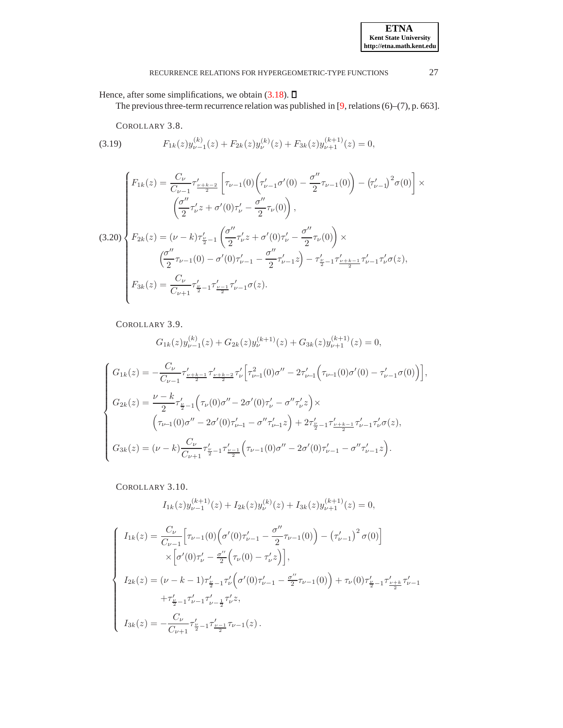<span id="page-10-0"></span>Hence, after some simplifications, we obtain [\(3.18\)](#page-9-1).  $\square$ 

The previous three-term recurrence relation was published in [\[9,](#page-21-8) relations (6)–(7), p. 663].

COROLLARY 3.8.

<span id="page-10-3"></span>(3.19) 
$$
F_{1k}(z)y_{\nu-1}^{(k)}(z) + F_{2k}(z)y_{\nu}^{(k)}(z) + F_{3k}(z)y_{\nu+1}^{(k+1)}(z) = 0,
$$

<span id="page-10-4"></span>
$$
(3.20)
$$
\n
$$
\begin{cases}\nF_{1k}(z) = \frac{C_{\nu}}{C_{\nu-1}} \tau'_{\frac{\nu+k-2}{2}} \left[ \tau_{\nu-1}(0) \left( \tau'_{\nu-1} \sigma'(0) - \frac{\sigma''}{2} \tau_{\nu-1}(0) \right) - \left( \tau'_{\nu-1} \right)^2 \sigma(0) \right] \times \\
\left( \frac{\sigma''}{2} \tau'_{\nu} z + \sigma'(0) \tau'_{\nu} - \frac{\sigma''}{2} \tau_{\nu}(0) \right), \\
F_{2k}(z) = (\nu - k) \tau'_{\frac{\nu}{2} - 1} \left( \frac{\sigma''}{2} \tau'_{\nu} z + \sigma'(0) \tau'_{\nu} - \frac{\sigma''}{2} \tau_{\nu}(0) \right) \times \\
\left( \frac{\sigma''}{2} \tau_{\nu-1}(0) - \sigma'(0) \tau'_{\nu-1} - \frac{\sigma''}{2} \tau'_{\nu-1} z \right) - \tau'_{\frac{\nu}{2} - 1} \tau'_{\frac{\nu+k-1}{2}} \tau'_{\nu-1} \tau'_{\nu} \sigma(z), \\
F_{3k}(z) = \frac{C_{\nu}}{C_{\nu+1}} \tau'_{\frac{\nu-1}{2}} \tau'_{\frac{\nu-1}{2}} \tau'_{\nu-1} \sigma(z).\n\end{cases}
$$

<span id="page-10-1"></span>COROLLARY 3.9.

$$
G_{1k}(z)y_{\nu-1}^{(k)}(z) + G_{2k}(z)y_{\nu}^{(k+1)}(z) + G_{3k}(z)y_{\nu+1}^{(k+1)}(z) = 0,
$$

$$
\left\{ \begin{aligned} G_{1k}(z) & = -\frac{C_{\nu}}{C_{\nu-1}} \tau'_{\frac{\nu+k-1}{2}} \tau'_{\frac{\nu+k-2}{2}} \tau'_{\nu} \Big[ \tau^2_{\nu-1}(0) \sigma'' - 2 \tau'_{\nu-1} \Big( \tau_{\nu-1}(0) \sigma'(0) - \tau'_{\nu-1} \sigma(0) \Big) \Big], \\ G_{2k}(z) & = \frac{\nu-k}{2} \tau'_{\frac{\nu}{2}-1} \Big( \tau_{\nu}(0) \sigma'' - 2 \sigma'(0) \tau'_{\nu} - \sigma'' \tau'_{\nu} z \Big) \times \\ & \Big( \tau_{\nu-1}(0) \sigma'' - 2 \sigma'(0) \tau'_{\nu-1} - \sigma'' \tau'_{\nu-1} z \Big) + 2 \tau'_{\frac{\nu}{2}-1} \tau'_{\frac{\nu+k-1}{2}} \tau'_{\nu-1} \tau'_{\nu} \sigma(z), \\ G_{3k}(z) & = (\nu-k) \frac{C_{\nu}}{C_{\nu+1}} \tau'_{\frac{\nu}{2}-1} \tau'_{\frac{\nu-1}{2}} \Big( \tau_{\nu-1}(0) \sigma'' - 2 \sigma'(0) \tau'_{\nu-1} - \sigma'' \tau'_{\nu-1} z \Big). \end{aligned} \right.
$$

<span id="page-10-2"></span>COROLLARY 3.10.

$$
I_{1k}(z)y_{\nu-1}^{(k+1)}(z) + I_{2k}(z)y_{\nu}^{(k)}(z) + I_{3k}(z)y_{\nu+1}^{(k+1)}(z) = 0,
$$

$$
\left\{\begin{array}{l} I_{1k}(z)=\displaystyle\frac{C_\nu}{C_{\nu-1}}\Big[\tau_{\nu-1}(0)\Big(\sigma'(0)\tau'_{\nu-1}-\displaystyle\frac{\sigma''}{2}\tau_{\nu-1}(0)\Big)-\big(\tau'_{\nu-1}\big)^2\,\sigma(0)\Big]\\ \quad\times\Big[\sigma'(0)\tau'_{\nu}-\frac{\sigma''}{2}\Big(\tau_{\nu}(0)-\tau'_{\nu}z\Big)\Big],\\[2mm] I_{2k}(z)=(\nu-k-1)\tau'_{\frac{\nu}{2}-1}\tau'_{\nu}\Big(\sigma'(0)\tau'_{\nu-1}-\frac{\sigma''}{2}\tau_{\nu-1}(0)\Big)+\tau_{\nu}(0)\tau'_{\frac{\nu}{2}-1}\tau'_{\frac{\nu+k}{2}}\tau'_{\nu-1}\\[2mm] \quad+ \tau'_{\frac{\nu}{2}-1}\tau'_{\nu-1}\tau'_{\nu-\frac{1}{2}}\tau'_{\nu}z,\\[2mm] I_{3k}(z)=-\displaystyle\frac{C_\nu}{C_{\nu+1}}\tau'_{\frac{\nu}{2}-1}\tau'_{\frac{\nu-1}{2}}\tau_{\nu-1}(z)\,. \end{array}\right.
$$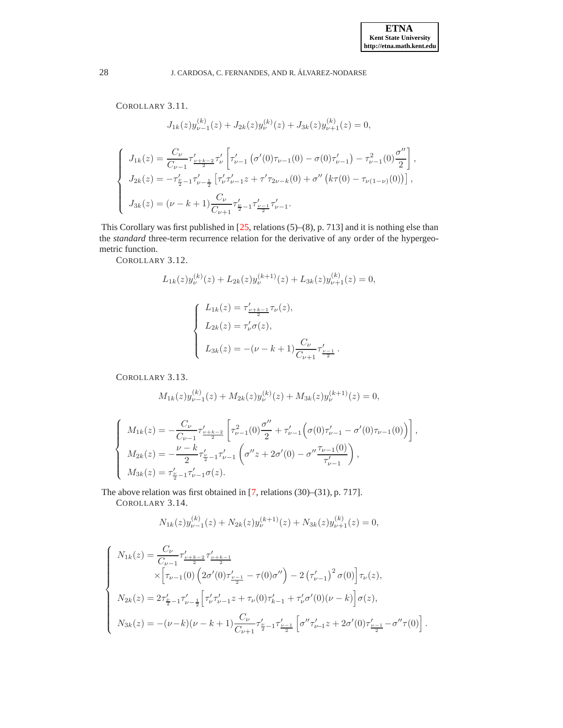,

### <span id="page-11-2"></span>28 J. CARDOSA, C. FERNANDES, AND R. ALVAREZ-NODARSE ´

COROLLARY 3.11.

$$
J_{1k}(z)y_{\nu-1}^{(k)}(z) + J_{2k}(z)y_{\nu}^{(k)}(z) + J_{3k}(z)y_{\nu+1}^{(k)}(z) = 0,
$$
  

$$
\begin{cases} J_{1k}(z) = \frac{C_{\nu}}{C_{\nu-1}} \tau_{\nu+\frac{k-2}{2}}' \tau_{\nu} \left[ \tau_{\nu-1}' \left( \sigma'(0)\tau_{\nu-1}(0) - \sigma(0)\tau_{\nu-1}' \right) - \tau_{\nu-1}^2(0) \frac{\sigma''}{2} \right] \\ J_{2k}(z) = -\tau_{\frac{\nu}{2}-1}' \tau_{\nu-\frac{1}{2}}' \left[ \tau_{\nu}' \tau_{\nu-1}' z + \tau' \tau_{2\nu-k}(0) + \sigma'' \left( k\tau(0) - \tau_{\nu(1-\nu)}(0) \right) \right], \\ J_{3k}(z) = (\nu - k + 1) \frac{C_{\nu}}{C_{\nu+1}} \tau_{\frac{\nu}{2}-1}' \tau_{\frac{\nu-1}{2}}' \tau_{\nu-1}' . \end{cases}
$$

<span id="page-11-0"></span>This Corollary was first published in [\[25,](#page-22-3) relations (5)–(8), p. 713] and it is nothing else than the *standard* three-term recurrence relation for the derivative of any order of the hypergeometric function.

COROLLARY 3.12.

$$
L_{1k}(z)y_{\nu}^{(k)}(z) + L_{2k}(z)y_{\nu}^{(k+1)}(z) + L_{3k}(z)y_{\nu+1}^{(k)}(z) = 0,
$$
  

$$
\begin{cases}L_{1k}(z) = \tau'_{\frac{\nu+k-1}{2}}\tau_{\nu}(z),\\L_{2k}(z) = \tau'_{\nu}\sigma(z),\\L_{3k}(z) = -(\nu - k + 1)\frac{C_{\nu}}{C_{\nu+1}}\tau'_{\frac{\nu-1}{2}}.\end{cases}
$$

<span id="page-11-3"></span>COROLLARY 3.13.

$$
M_{1k}(z)y_{\nu-1}^{(k)}(z) + M_{2k}(z)y_{\nu}^{(k)}(z) + M_{3k}(z)y_{\nu}^{(k+1)}(z) = 0,
$$

$$
\left\{ \begin{array}{l} M_{1k}(z)=-\frac{C_{\nu}}{C_{\nu-1}}\tau'_{\frac{\nu+k-2}{2}}\left[\tau_{\nu-1}^2(0)\frac{\sigma''}{2}+\tau'_{\nu-1}\Big(\sigma(0)\tau'_{\nu-1}-\sigma'(0)\tau_{\nu-1}(0)\Big)\right],\\ M_{2k}(z)=-\frac{\nu-k}{2}\tau'_{\frac{\nu}{2}-1}\tau'_{\nu-1}\left(\sigma''z+2\sigma'(0)-\sigma''\frac{\tau_{\nu-1}(0)}{\tau'_{\nu-1}}\right),\\ M_{3k}(z)=\tau'_{\frac{\nu}{2}-1}\tau'_{\nu-1}\sigma(z). \end{array} \right.
$$

<span id="page-11-1"></span>The above relation was first obtained in [\[7,](#page-21-6) relations (30)–(31), p. 717].

COROLLARY 3.14.

$$
N_{1k}(z)y_{\nu-1}^{(k)}(z) + N_{2k}(z)y_{\nu}^{(k+1)}(z) + N_{3k}(z)y_{\nu+1}^{(k)}(z) = 0,
$$

$$
\label{eq:11} \left\{ \begin{array}{l} N_{1k}(z)=\frac{C_{\nu}}{C_{\nu-1}}\tau_{\frac{\nu+k-2}{2}}'\tau_{\frac{\nu+k-1}{2}}'\\ \quad \ \ \times\Big[\tau_{\nu-1}(0)\left(2\sigma'(0)\tau_{\frac{\nu-1}{2}}'-\tau(0)\sigma''\right)-2\left(\tau_{\nu-1}'\right)^2\sigma(0)\Big]\tau_{\nu}(z),\\ \quad \ N_{2k}(z)=2\tau_{\frac{\nu}{2}-1}'\tau_{\nu-\frac{1}{2}}'\Big[\tau_{\nu}'\tau_{\nu-1}'z+\tau_{\nu}(0)\tau_{k-1}'+\tau_{\nu}'\sigma'(0)(\nu-k)\Big]\sigma(z),\\ \quad \ N_{3k}(z)=-(\nu-k)(\nu-k+1)\frac{C_{\nu}}{C_{\nu+1}}\tau_{\frac{\nu}{2}-1}'\tau_{\frac{\nu-1}{2}}'\Big[\sigma''\tau_{\nu-1}'z+2\sigma'(0)\tau_{\frac{\nu-1}{2}}'-\sigma''\tau(0)\Big]\,. \end{array} \right.
$$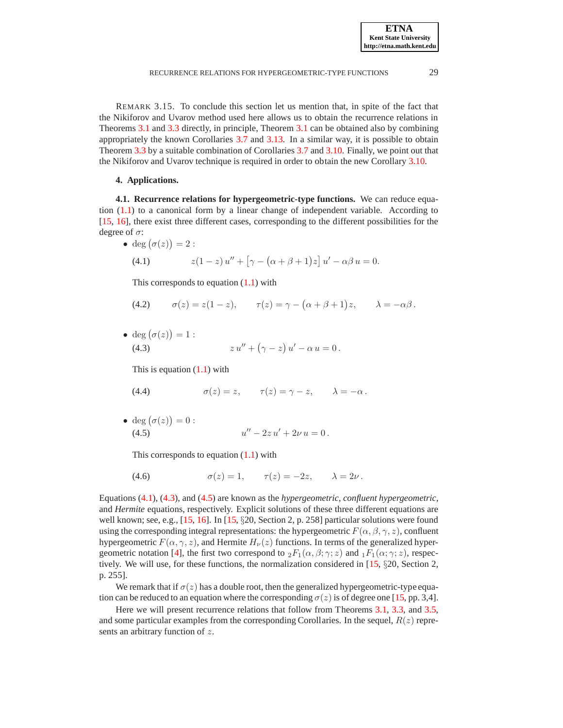REMARK 3.15. To conclude this section let us mention that, in spite of the fact that the Nikiforov and Uvarov method used here allows us to obtain the recurrence relations in Theorems [3.1](#page-3-7) and [3.3](#page-6-0) directly, in principle, Theorem [3.1](#page-3-7) can be obtained also by combining appropriately the known Corollaries [3.7](#page-9-0) and [3.13.](#page-11-3) In a similar way, it is possible to obtain Theorem [3.3](#page-6-0) by a suitable combination of Corollaries [3.7](#page-9-0) and [3.10.](#page-10-2) Finally, we point out that the Nikiforov and Uvarov technique is required in order to obtain the new Corollary [3.10.](#page-10-2)

### **4. Applications.**

<span id="page-12-0"></span>**4.1. Recurrence relations for hypergeometric-type functions.** We can reduce equation  $(1.1)$  to a canonical form by a linear change of independent variable. According to [\[15,](#page-21-3) [16\]](#page-21-13), there exist three different cases, corresponding to the different possibilities for the degree of  $\sigma$ :

<span id="page-12-1"></span>• deg 
$$
(\sigma(z)) = 2
$$
:  
(4.1) 
$$
z(1-z) u'' + [\gamma - (\alpha + \beta + 1)z] u' - \alpha \beta u = 0.
$$

This corresponds to equation  $(1.1)$  with

<span id="page-12-4"></span>(4.2) 
$$
\sigma(z) = z(1-z), \qquad \tau(z) = \gamma - (\alpha + \beta + 1)z, \qquad \lambda = -\alpha\beta.
$$

• deg  $(\sigma(z)) = 1$ : (4.3)  $z u'' + (\gamma - z) u' - \alpha u = 0.$ 

<span id="page-12-2"></span>This is equation  $(1.1)$  with

- <span id="page-12-5"></span>(4.4)  $\sigma(z) = z, \quad \tau(z) = \gamma - z, \quad \lambda = -\alpha.$
- deg  $(\sigma(z)) = 0$ :  $(4.5)$  $u'' - 2zu' + 2\nu u = 0$ .

<span id="page-12-3"></span>This corresponds to equation  $(1.1)$  with

<span id="page-12-6"></span>
$$
(4.6) \qquad \qquad \sigma(z) = 1, \qquad \tau(z) = -2z, \qquad \lambda = 2\nu \,.
$$

Equations [\(4.1\)](#page-12-1), [\(4.3\)](#page-12-2), and [\(4.5\)](#page-12-3) are known as the *hypergeometric*, *confluent hypergeometric*, and *Hermite* equations, respectively. Explicit solutions of these three different equations are well known; see, e.g., [\[15,](#page-21-3) [16\]](#page-21-13). In [\[15,](#page-21-3) §20, Section 2, p. 258] particular solutions were found using the corresponding integral representations: the hypergeometric  $F(\alpha, \beta, \gamma, z)$ , confluent hypergeometric  $F(\alpha, \gamma, z)$ , and Hermite  $H_{\nu}(z)$  functions. In terms of the generalized hyper-geometric notation [\[4\]](#page-21-16), the first two correspond to  ${}_2F_1(\alpha,\beta;\gamma;z)$  and  ${}_1F_1(\alpha;\gamma;z)$ , respectively. We will use, for these functions, the normalization considered in [\[15,](#page-21-3) §20, Section 2, p. 255].

We remark that if  $\sigma(z)$  has a double root, then the generalized hypergeometric-type equation can be reduced to an equation where the corresponding  $\sigma(z)$  is of degree one [\[15,](#page-21-3) pp. 3,4].

Here we will present recurrence relations that follow from Theorems [3.1,](#page-3-7) [3.3,](#page-6-0) and [3.5,](#page-7-0) and some particular examples from the corresponding Corollaries. In the sequel,  $R(z)$  represents an arbitrary function of z.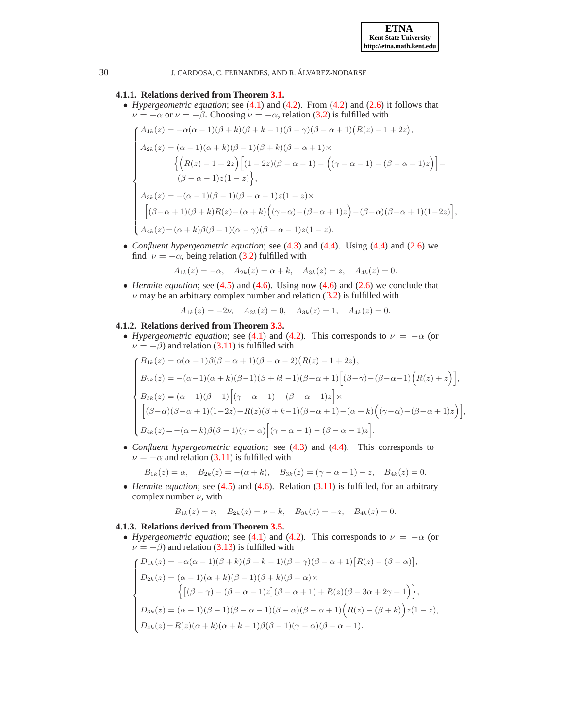

,

30 J. CARDOSA, C. FERNANDES, AND R. ALVAREZ-NODARSE ´

#### **4.1.1. Relations derived from Theorem [3.1.](#page-3-7)**

• *Hypergeometric equation*; see [\(4.1\)](#page-12-1) and [\(4.2\)](#page-12-4). From [\(4.2\)](#page-12-4) and [\(2.6\)](#page-2-3) it follows that  $\nu = -\alpha$  or  $\nu = -\beta$ . Choosing  $\nu = -\alpha$ , relation [\(3.2\)](#page-3-4) is fulfilled with

$$
\begin{cases}\nA_{1k}(z) = -\alpha(\alpha - 1)(\beta + k)(\beta + k - 1)(\beta - \gamma)(\beta - \alpha + 1)(R(z) - 1 + 2z), \\
A_{2k}(z) = (\alpha - 1)(\alpha + k)(\beta - 1)(\beta + k)(\beta - \alpha + 1)\times \\
& \{ (R(z) - 1 + 2z) \left[ (1 - 2z)(\beta - \alpha - 1) - ((\gamma - \alpha - 1) - (\beta - \alpha + 1)z) \right] - (\beta - \alpha - 1)z(1 - z) \}, \\
A_{3k}(z) = -(\alpha - 1)(\beta - 1)(\beta - \alpha - 1)z(1 - z)\times \\
& \left[ (\beta - \alpha + 1)(\beta + k)R(z) - (\alpha + k) \left( (\gamma - \alpha) - (\beta - \alpha + 1)z \right) - (\beta - \alpha)(\beta - \alpha + 1)(1 - 2z) \right] \\
A_{4k}(z) = (\alpha + k)\beta(\beta - 1)(\alpha - \gamma)(\beta - \alpha - 1)z(1 - z).\n\end{cases}
$$

• *Confluent hypergeometric equation*; see [\(4.3\)](#page-12-2) and [\(4.4\)](#page-12-5). Using [\(4.4\)](#page-12-5) and [\(2.6\)](#page-2-3) we find  $\nu = -\alpha$ , being relation [\(3.2\)](#page-3-4) fulfilled with

$$
A_{1k}(z) = -\alpha
$$
,  $A_{2k}(z) = \alpha + k$ ,  $A_{3k}(z) = z$ ,  $A_{4k}(z) = 0$ .

• *Hermite equation*; see [\(4.5\)](#page-12-3) and [\(4.6\)](#page-12-6). Using now [\(4.6\)](#page-12-6) and [\(2.6\)](#page-2-3) we conclude that  $\nu$  may be an arbitrary complex number and relation [\(3.2\)](#page-3-4) is fulfilled with

$$
A_{1k}(z) = -2\nu
$$
,  $A_{2k}(z) = 0$ ,  $A_{3k}(z) = 1$ ,  $A_{4k}(z) = 0$ .

#### **4.1.2. Relations derived from Theorem [3.3.](#page-6-0)**

• *Hypergeometric equation*; see [\(4.1\)](#page-12-1) and [\(4.2\)](#page-12-4). This corresponds to  $\nu = -\alpha$  (or  $\nu = -\beta$ ) and relation [\(3.11\)](#page-6-2) is fulfilled with

$$
\begin{cases}\nB_{1k}(z) = \alpha(\alpha - 1)\beta(\beta - \alpha + 1)(\beta - \alpha - 2)(R(z) - 1 + 2z),\nB_{2k}(z) = -(\alpha - 1)(\alpha + k)(\beta - 1)(\beta + k! - 1)(\beta - \alpha + 1)[(\beta - \gamma) - (\beta - \alpha - 1)(R(z) + z)],\nB_{3k}(z) = (\alpha - 1)(\beta - 1)[(\gamma - \alpha - 1) - (\beta - \alpha - 1)z] \times\n[(\beta - \alpha)(\beta - \alpha + 1)(1 - 2z) - R(z)(\beta + k - 1)(\beta - \alpha + 1) - (\alpha + k)((\gamma - \alpha) - (\beta - \alpha + 1)z)],\nB_{4k}(z) = -(\alpha + k)\beta(\beta - 1)(\gamma - \alpha)[(\gamma - \alpha - 1) - (\beta - \alpha - 1)z].\n\end{cases}
$$

• *Confluent hypergeometric equation*; see [\(4.3\)](#page-12-2) and [\(4.4\)](#page-12-5). This corresponds to  $\nu = -\alpha$  and relation [\(3.11\)](#page-6-2) is fulfilled with

$$
B_{1k}(z) = \alpha
$$
,  $B_{2k}(z) = -(\alpha + k)$ ,  $B_{3k}(z) = (\gamma - \alpha - 1) - z$ ,  $B_{4k}(z) = 0$ .

• *Hermite equation*; see [\(4.5\)](#page-12-3) and [\(4.6\)](#page-12-6). Relation [\(3.11\)](#page-6-2) is fulfilled, for an arbitrary complex number  $\nu$ , with

$$
B_{1k}(z) = \nu
$$
,  $B_{2k}(z) = \nu - k$ ,  $B_{3k}(z) = -z$ ,  $B_{4k}(z) = 0$ .

### **4.1.3. Relations derived from Theorem [3.5.](#page-7-0)**

• *Hypergeometric equation*; see [\(4.1\)](#page-12-1) and [\(4.2\)](#page-12-4). This corresponds to  $\nu = -\alpha$  (or  $\nu = -\beta$ ) and relation [\(3.13\)](#page-7-1) is fulfilled with

$$
\begin{cases}\nD_{1k}(z) = -\alpha(\alpha - 1)(\beta + k)(\beta + k - 1)(\beta - \gamma)(\beta - \alpha + 1)[R(z) - (\beta - \alpha)], \\
D_{2k}(z) = (\alpha - 1)(\alpha + k)(\beta - 1)(\beta + k)(\beta - \alpha) \times \\
& \left\{ \left[ (\beta - \gamma) - (\beta - \alpha - 1)z \right] (\beta - \alpha + 1) + R(z)(\beta - 3\alpha + 2\gamma + 1) \right\}, \\
D_{3k}(z) = (\alpha - 1)(\beta - 1)(\beta - \alpha - 1)(\beta - \alpha)(\beta - \alpha + 1)(R(z) - (\beta + k))z(1 - z), \\
D_{4k}(z) = R(z)(\alpha + k)(\alpha + k - 1)\beta(\beta - 1)(\gamma - \alpha)(\beta - \alpha - 1).\n\end{cases}
$$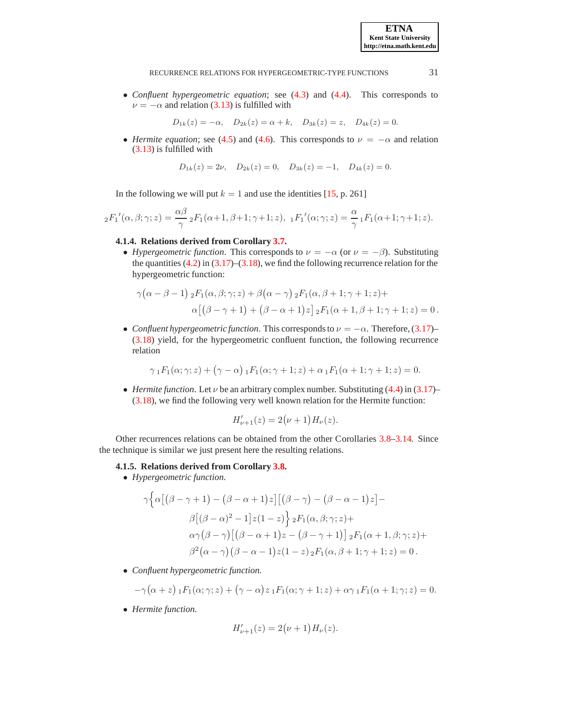• *Confluent hypergeometric equation*; see [\(4.3\)](#page-12-2) and [\(4.4\)](#page-12-5). This corresponds to  $\nu = -\alpha$  and relation [\(3.13\)](#page-7-1) is fulfilled with

$$
D_{1k}(z) = -\alpha
$$
,  $D_{2k}(z) = \alpha + k$ ,  $D_{3k}(z) = z$ ,  $D_{4k}(z) = 0$ .

• *Hermite equation*; see [\(4.5\)](#page-12-3) and [\(4.6\)](#page-12-6). This corresponds to  $\nu = -\alpha$  and relation [\(3.13\)](#page-7-1) is fulfilled with

$$
D_{1k}(z) = 2\nu
$$
,  $D_{2k}(z) = 0$ ,  $D_{3k}(z) = -1$ ,  $D_{4k}(z) = 0$ .

In the following we will put  $k = 1$  and use the identities [\[15,](#page-21-3) p. 261]

$$
{}_2F_1'(\alpha,\beta;\gamma;z)=\frac{\alpha\beta}{\gamma}\,{}_2F_1(\alpha+1,\beta+1;\gamma+1;z),\,\,{}_1F_1'(\alpha;\gamma;z)=\frac{\alpha}{\gamma}\,{}_1F_1(\alpha+1;\gamma+1;z).
$$

### **4.1.4. Relations derived from Corollary [3.7.](#page-9-0)**

• *Hypergeometric function*. This corresponds to  $\nu = -\alpha$  (or  $\nu = -\beta$ ). Substituting the quantities  $(4.2)$  in  $(3.17)$ – $(3.18)$ , we find the following recurrence relation for the hypergeometric function:

$$
\gamma(\alpha-\beta-1) \, {}_{2}F_{1}(\alpha,\beta;\gamma;z) + \beta(\alpha-\gamma) \, {}_{2}F_{1}(\alpha,\beta+1;\gamma+1;z) +
$$

$$
\alpha[(\beta-\gamma+1)+(\beta-\alpha+1)z] \, {}_{2}F_{1}(\alpha+1,\beta+1;\gamma+1;z) = 0.
$$

• *Confluent hypergeometric function*. This corresponds to  $\nu = -\alpha$ . Therefore, [\(3.17\)](#page-9-2)– [\(3.18\)](#page-9-1) yield, for the hypergeometric confluent function, the following recurrence relation

$$
\gamma_1 F_1(\alpha; \gamma; z) + (\gamma - \alpha) \, {}_1F_1(\alpha; \gamma + 1; z) + \alpha \, {}_1F_1(\alpha + 1; \gamma + 1; z) = 0.
$$

• *Hermite function*. Let  $\nu$  be an arbitrary complex number. Substituting [\(4.4\)](#page-12-5) in [\(3.17\)](#page-9-2)– [\(3.18\)](#page-9-1), we find the following very well known relation for the Hermite function:

$$
H'_{\nu+1}(z) = 2(\nu+1)H_{\nu}(z).
$$

Other recurrences relations can be obtained from the other Corollaries [3.8](#page-10-0)[–3.14.](#page-11-1) Since the technique is similar we just present here the resulting relations.

### **4.1.5. Relations derived from Corollary [3.8.](#page-10-0)**

• *Hypergeometric function.*

$$
\gamma \Big\{\alpha \big[ \big(\beta - \gamma + 1\big) - \big(\beta - \alpha + 1\big)z \big] \big[ \big(\beta - \gamma\big) - \big(\beta - \alpha - 1\big)z \big] -
$$
  

$$
\beta \big[ \big(\beta - \alpha\big)^2 - 1\big] z(1 - z) \Big\} {}_2F_1(\alpha, \beta; \gamma; z) +
$$
  

$$
\alpha \gamma \big( \beta - \gamma \big) \big[ \big(\beta - \alpha + 1\big)z - \big(\beta - \gamma + 1\big) \big] {}_2F_1(\alpha + 1, \beta; \gamma; z) +
$$
  

$$
\beta^2 \big( \alpha - \gamma \big) \big( \beta - \alpha - 1\big) z(1 - z) {}_2F_1(\alpha, \beta + 1; \gamma + 1; z) = 0.
$$

• *Confluent hypergeometric function.*

$$
-\gamma(\alpha+z) \, {}_1F_1(\alpha;\gamma;z) + (\gamma-\alpha) z \, {}_1F_1(\alpha;\gamma+1;z) + \alpha \gamma \, {}_1F_1(\alpha+1;\gamma;z) = 0.
$$

• *Hermite function.*

$$
H'_{\nu+1}(z) = 2(\nu+1)H_{\nu}(z).
$$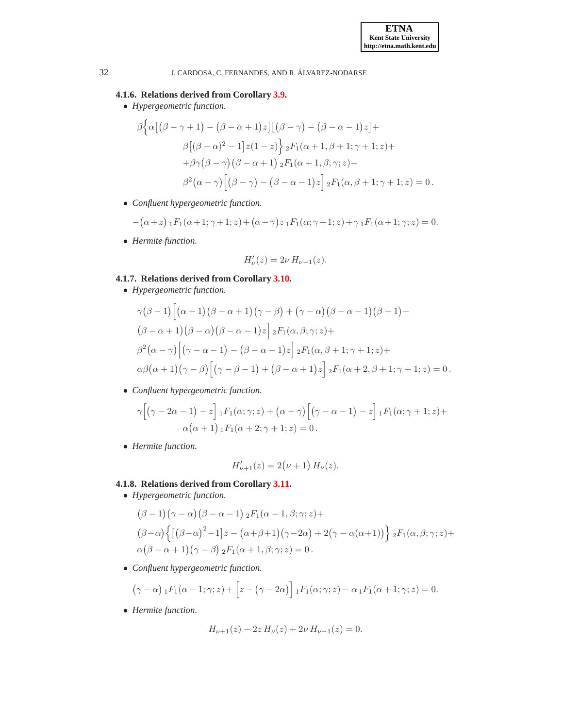### **4.1.6. Relations derived from Corollary [3.9.](#page-10-1)**

• *Hypergeometric function.*

$$
\beta \Big\{ \alpha \big[ (\beta - \gamma + 1) - (\beta - \alpha + 1)z \big] \big[ (\beta - \gamma) - (\beta - \alpha - 1)z \big] +
$$
  

$$
\beta \big[ (\beta - \alpha)^2 - 1 \big] z (1 - z) \Big\} {}_{2}F_1(\alpha + 1, \beta + 1; \gamma + 1; z) +
$$
  

$$
+ \beta \gamma (\beta - \gamma) (\beta - \alpha + 1) {}_{2}F_1(\alpha + 1, \beta; \gamma; z) -
$$
  

$$
\beta^2 (\alpha - \gamma) \big[ (\beta - \gamma) - (\beta - \alpha - 1)z \big] {}_{2}F_1(\alpha, \beta + 1; \gamma + 1; z) = 0.
$$

• *Confluent hypergeometric function.*

$$
-(\alpha + z) {}_1F_1(\alpha + 1; \gamma + 1; z) + (\alpha - \gamma) z {}_1F_1(\alpha; \gamma + 1; z) + \gamma {}_1F_1(\alpha + 1; \gamma; z) = 0.
$$

• *Hermite function.*

$$
H_{\nu}'(z) = 2\nu \, H_{\nu-1}(z).
$$

# **4.1.7. Relations derived from Corollary [3.10.](#page-10-2)**

• *Hypergeometric function.*

$$
\gamma(\beta - 1) \Big[ \big( \alpha + 1 \big) \big( \beta - \alpha + 1 \big) \big( \gamma - \beta \big) + \big( \gamma - \alpha \big) \big( \beta - \alpha - 1 \big) \big( \beta + 1 \big) -
$$
  

$$
(\beta - \alpha + 1) \big( \beta - \alpha \big) \big( \beta - \alpha - 1 \big) z \Big] {}_{2}F_{1}(\alpha, \beta; \gamma; z) +
$$
  

$$
\beta^{2}(\alpha - \gamma) \Big[ \big( \gamma - \alpha - 1 \big) - \big( \beta - \alpha - 1 \big) z \Big] {}_{2}F_{1}(\alpha, \beta + 1; \gamma + 1; z) +
$$
  

$$
\alpha \beta(\alpha + 1) \big( \gamma - \beta \big) \Big[ \big( \gamma - \beta - 1 \big) + \big( \beta - \alpha + 1 \big) z \Big] {}_{2}F_{1}(\alpha + 2, \beta + 1; \gamma + 1; z) = 0.
$$

• *Confluent hypergeometric function.*

$$
\gamma \Big[ \big( \gamma - 2\alpha - 1 \big) - z \Big] {}_1F_1(\alpha; \gamma; z) + \big( \alpha - \gamma \big) \Big[ \big( \gamma - \alpha - 1 \big) - z \Big] {}_1F_1(\alpha; \gamma + 1; z) +
$$
  
 
$$
\alpha \big( \alpha + 1 \big) {}_1F_1(\alpha + 2; \gamma + 1; z) = 0.
$$

• *Hermite function.*

$$
H'_{\nu+1}(z) = 2(\nu+1) H_{\nu}(z).
$$

### <span id="page-15-0"></span>**4.1.8. Relations derived from Corollary [3.11.](#page-11-2)**

• *Hypergeometric function.*

$$
(\beta - 1)(\gamma - \alpha)(\beta - \alpha - 1) {}_{2}F_{1}(\alpha - 1, \beta; \gamma; z) +
$$
  

$$
(\beta - \alpha)\left\{ [(\beta - \alpha)^{2} - 1]z - (\alpha + \beta + 1)(\gamma - 2\alpha) + 2(\gamma - \alpha(\alpha + 1)) \right\} {}_{2}F_{1}(\alpha, \beta; \gamma; z) +
$$
  

$$
\alpha(\beta - \alpha + 1)(\gamma - \beta) {}_{2}F_{1}(\alpha + 1, \beta; \gamma; z) = 0.
$$

• *Confluent hypergeometric function.*

$$
(\gamma - \alpha) \, {}_1F_1(\alpha - 1; \gamma; z) + \left[ z - (\gamma - 2\alpha) \right] {}_1F_1(\alpha; \gamma; z) - \alpha {}_1F_1(\alpha + 1; \gamma; z) = 0.
$$

• *Hermite function.*

$$
H_{\nu+1}(z) - 2z H_{\nu}(z) + 2\nu H_{\nu-1}(z) = 0.
$$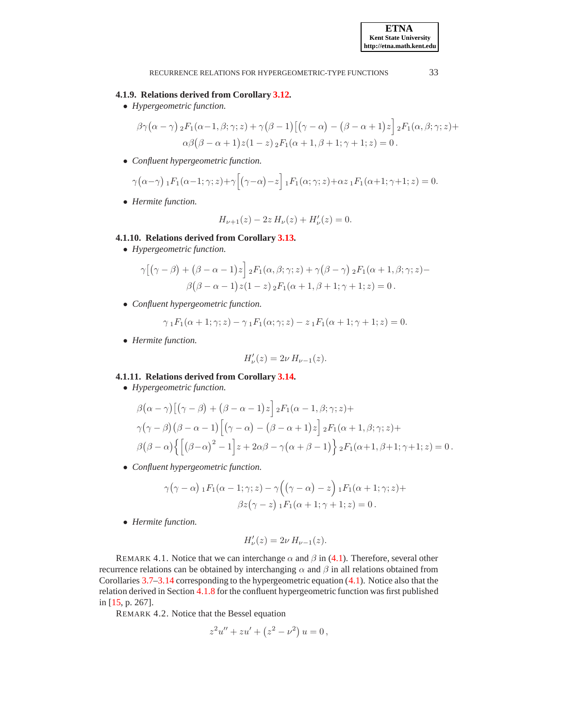#### **4.1.9. Relations derived from Corollary [3.12.](#page-11-0)**

• *Hypergeometric function.*

$$
\beta \gamma (\alpha - \gamma) {}_{2}F_{1}(\alpha - 1, \beta; \gamma; z) + \gamma (\beta - 1) [(\gamma - \alpha) - (\beta - \alpha + 1) z] {}_{2}F_{1}(\alpha, \beta; \gamma; z) +
$$
  

$$
\alpha \beta (\beta - \alpha + 1) z (1 - z) {}_{2}F_{1}(\alpha + 1, \beta + 1; \gamma + 1; z) = 0.
$$

• *Confluent hypergeometric function.*

$$
\gamma(\alpha-\gamma) \, {}_1F_1(\alpha-1;\gamma;z) + \gamma \Big[ \big(\gamma-\alpha\big)-z \Big] \, {}_1F_1(\alpha;\gamma;z) + \alpha z \, {}_1F_1(\alpha+1;\gamma+1;z) = 0.
$$

• *Hermite function.*

$$
H_{\nu+1}(z) - 2z H_{\nu}(z) + H_{\nu}'(z) = 0.
$$

### **4.1.10. Relations derived from Corollary [3.13.](#page-11-3)**

• *Hypergeometric function.*

$$
\gamma [(\gamma - \beta) + (\beta - \alpha - 1)z] {}_{2}F_{1}(\alpha, \beta; \gamma; z) + \gamma (\beta - \gamma) {}_{2}F_{1}(\alpha + 1, \beta; \gamma; z) - \beta (\beta - \alpha - 1)z(1 - z) {}_{2}F_{1}(\alpha + 1, \beta + 1; \gamma + 1; z) = 0.
$$

• *Confluent hypergeometric function.*

$$
\gamma_1 F_1(\alpha + 1; \gamma; z) - \gamma_1 F_1(\alpha; \gamma; z) - z_1 F_1(\alpha + 1; \gamma + 1; z) = 0.
$$

• *Hermite function.*

$$
H_{\nu}'(z) = 2\nu H_{\nu-1}(z).
$$

### **4.1.11. Relations derived from Corollary [3.14.](#page-11-1)**

• *Hypergeometric function.*

$$
\beta(\alpha - \gamma) [(\gamma - \beta) + (\beta - \alpha - 1)z] {}_{2}F_{1}(\alpha - 1, \beta; \gamma; z) +
$$
  
\n
$$
\gamma(\gamma - \beta) (\beta - \alpha - 1) [(\gamma - \alpha) - (\beta - \alpha + 1)z] {}_{2}F_{1}(\alpha + 1, \beta; \gamma; z) +
$$
  
\n
$$
\beta(\beta - \alpha) \{ [(\beta - \alpha)^{2} - 1] z + 2\alpha\beta - \gamma(\alpha + \beta - 1) \} {}_{2}F_{1}(\alpha + 1, \beta + 1; \gamma + 1; z) = 0.
$$

• *Confluent hypergeometric function.*

$$
\gamma(\gamma - \alpha) \, {}_1F_1(\alpha - 1; \gamma; z) - \gamma \Big( (\gamma - \alpha) - z \Big) \, {}_1F_1(\alpha + 1; \gamma; z) +
$$

$$
\beta z (\gamma - z) \, {}_1F_1(\alpha + 1; \gamma + 1; z) = 0 \, .
$$

• *Hermite function.*

$$
H_{\nu}'(z) = 2\nu \, H_{\nu-1}(z).
$$

<span id="page-16-0"></span>REMARK 4.1. Notice that we can interchange  $\alpha$  and  $\beta$  in [\(4.1\)](#page-12-1). Therefore, several other recurrence relations can be obtained by interchanging  $\alpha$  and  $\beta$  in all relations obtained from Corollaries [3.7–](#page-9-0)[3.14](#page-11-1) corresponding to the hypergeometric equation [\(4.1\)](#page-12-1). Notice also that the relation derived in Section [4.1.8](#page-15-0) for the confluent hypergeometric function was first published in [\[15,](#page-21-3) p. 267].

REMARK 4.2. Notice that the Bessel equation

$$
z2u'' + zu' + (z2 – \nu2) u = 0,
$$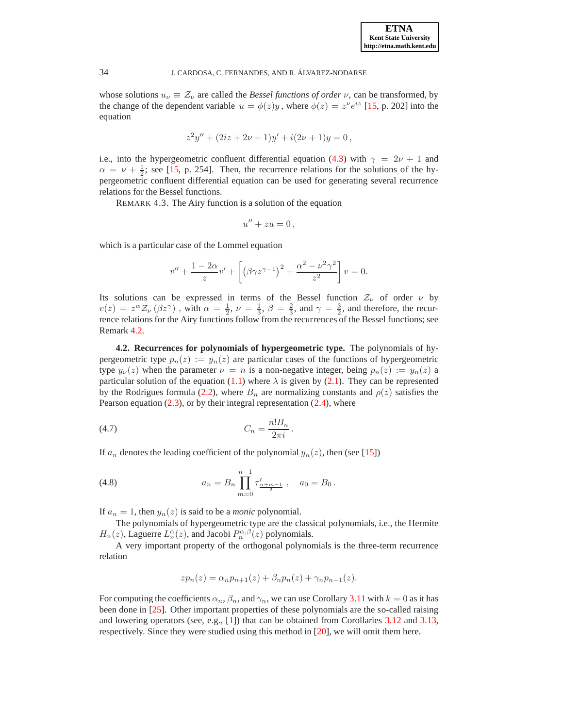whose solutions  $u_{\nu} \equiv \mathcal{Z}_{\nu}$  are called the *Bessel functions of order*  $\nu$ , can be transformed, by the change of the dependent variable  $u = \phi(z)y$ , where  $\phi(z) = z^{\nu}e^{iz}$  [\[15,](#page-21-3) p. 202] into the equation

$$
z2y'' + (2iz + 2\nu + 1)y' + i(2\nu + 1)y = 0,
$$

i.e., into the hypergeometric confluent differential equation [\(4.3\)](#page-12-2) with  $\gamma = 2\nu + 1$  and  $\alpha = \nu + \frac{1}{2}$ ; see [\[15,](#page-21-3) p. 254]. Then, the recurrence relations for the solutions of the hypergeometric confluent differential equation can be used for generating several recurrence relations for the Bessel functions.

REMARK 4.3. The Airy function is a solution of the equation

$$
u'' + zu = 0,
$$

which is a particular case of the Lommel equation

$$
v'' + \frac{1 - 2\alpha}{z}v' + \left[\left(\beta\gamma z^{\gamma - 1}\right)^2 + \frac{\alpha^2 - \nu^2\gamma^2}{z^2}\right]v = 0.
$$

Its solutions can be expressed in terms of the Bessel function  $\mathcal{Z}_{\nu}$  of order  $\nu$  by  $v(z) = z^{\alpha} \mathcal{Z}_{\nu} (\beta z^{\gamma})$ , with  $\alpha = \frac{1}{2}, \nu = \frac{1}{3}, \beta = \frac{2}{3}$ , and  $\gamma = \frac{3}{2}$ , and therefore, the recurrence relations for the Airy functions follow from the recurrences of the Bessel functions; see Remark [4.2.](#page-16-0)

<span id="page-17-1"></span>**4.2. Recurrences for polynomials of hypergeometric type.** The polynomials of hypergeometric type  $p_n(z) := y_n(z)$  are particular cases of the functions of hypergeometric type  $y_{\nu}(z)$  when the parameter  $\nu = n$  is a non-negative integer, being  $p_n(z) := y_n(z)$  a particular solution of the equation [\(1.1\)](#page-0-0) where  $\lambda$  is given by [\(2.1\)](#page-2-1). They can be represented by the Rodrigues formula [\(2.2\)](#page-2-5), where  $B_n$  are normalizing constants and  $\rho(z)$  satisfies the Pearson equation  $(2.3)$ , or by their integral representation  $(2.4)$ , where

<span id="page-17-2"></span>
$$
(4.7) \tC_n = \frac{n!B_n}{2\pi i}.
$$

If  $a_n$  denotes the leading coefficient of the polynomial  $y_n(z)$ , then (see [\[15\]](#page-21-3))

<span id="page-17-0"></span>(4.8) 
$$
a_n = B_n \prod_{m=0}^{n-1} \tau'_{\frac{n+m-1}{2}}, \quad a_0 = B_0.
$$

If  $a_n = 1$ , then  $y_n(z)$  is said to be a *monic* polynomial.

The polynomials of hypergeometric type are the classical polynomials, i.e., the Hermite  $H_n(z)$ , Laguerre  $L_n^{\alpha}(z)$ , and Jacobi  $P_n^{\alpha,\beta}(z)$  polynomials.

A very important property of the orthogonal polynomials is the three-term recurrence relation

$$
zp_n(z) = \alpha_n p_{n+1}(z) + \beta_n p_n(z) + \gamma_n p_{n-1}(z).
$$

For computing the coefficients  $\alpha_n$ ,  $\beta_n$ , and  $\gamma_n$ , we can use Corollary [3.11](#page-11-2) with  $k = 0$  as it has been done in [\[25\]](#page-22-3). Other important properties of these polynomials are the so-called raising and lowering operators (see, e.g., [\[1\]](#page-21-17)) that can be obtained from Corollaries [3.12](#page-11-0) and [3.13,](#page-11-3) respectively. Since they were studied using this method in [\[20\]](#page-21-18), we will omit them here.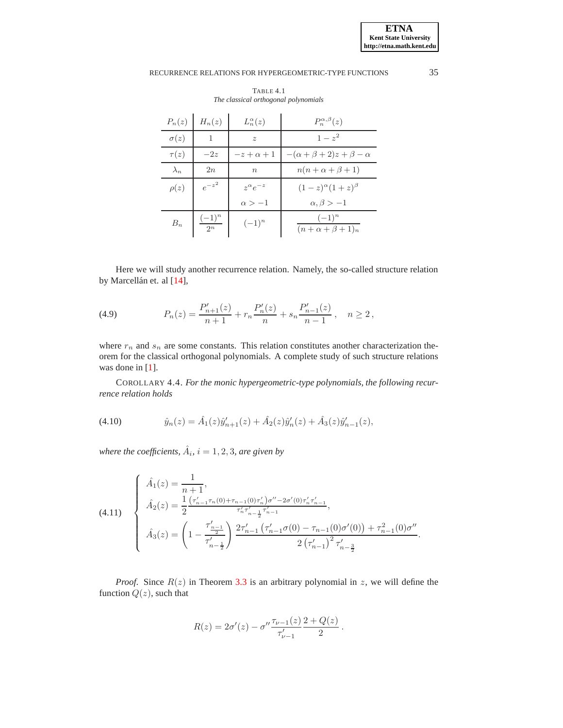<span id="page-18-4"></span>

| $P_n(z)$    | $H_n(z)$             | $L_n^{\alpha}(z)$  | $P_n^{\alpha,\beta}(z)$                   |
|-------------|----------------------|--------------------|-------------------------------------------|
| $\sigma(z)$ | 1                    | $\tilde{z}$        | $1 - z^2$                                 |
| $\tau(z)$   | $-2z$                | $-z+\alpha+1$      | $-(\alpha + \beta + 2)z + \beta - \alpha$ |
| $\lambda_n$ | 2n                   | $\boldsymbol{n}$   | $n(n+\alpha+\beta+1)$                     |
| $\rho(z)$   | $e^{-z^2}$           | $z^{\alpha}e^{-z}$ | $(1-z)^{\alpha}(1+z)^{\beta}$             |
|             |                      | $\alpha > -1$      | $\alpha, \beta > -1$                      |
| $B_n$       | $\frac{(-1)^n}{2^n}$ | $(-1)^n$           | $(-1)^n$<br>$(n+\alpha+\beta+1)n$         |

TABLE 4.1 *The classical orthogonal polynomials*

Here we will study another recurrence relation. Namely, the so-called structure relation by Marcellán et. al [\[14\]](#page-21-19),

<span id="page-18-2"></span>(4.9) 
$$
P_n(z) = \frac{P'_{n+1}(z)}{n+1} + r_n \frac{P'_n(z)}{n} + s_n \frac{P'_{n-1}(z)}{n-1}, \quad n \ge 2,
$$

where  $r_n$  and  $s_n$  are some constants. This relation constitutes another characterization theorem for the classical orthogonal polynomials. A complete study of such structure relations was done in [\[1\]](#page-21-17).

<span id="page-18-3"></span>COROLLARY 4.4. *For the monic hypergeometric-type polynomials, the following recurrence relation holds*

<span id="page-18-0"></span>(4.10) 
$$
\hat{y}_n(z) = \hat{A}_1(z)\hat{y}_{n+1}'(z) + \hat{A}_2(z)\hat{y}_n'(z) + \hat{A}_3(z)\hat{y}_{n-1}'(z),
$$

where the coefficients,  $\hat{A}_i$ ,  $i = 1, 2, 3$ , are given by

<span id="page-18-1"></span>(4.11) 
$$
\begin{cases}\n\hat{A}_1(z) = \frac{1}{n+1}, \\
\hat{A}_2(z) = \frac{1}{2} \frac{(\tau'_{n-1}\tau_n(0) + \tau_{n-1}(0)\tau'_n)\sigma'' - 2\sigma'(0)\tau'_n\tau'_{n-1}}{\tau'_n\tau'_{n-\frac{1}{2}}\tau'_{n-1}}, \\
\hat{A}_3(z) = \left(1 - \frac{\tau'_{n-1}}{\tau'_{n-\frac{1}{2}}}\right) \frac{2\tau'_{n-1}(\tau'_{n-1}\sigma(0) - \tau_{n-1}(0)\sigma'(0)) + \tau_{n-1}^2(0)\sigma''}{2(\tau'_{n-1})^2\tau'_{n-\frac{3}{2}}}.\n\end{cases}
$$

*Proof.* Since  $R(z)$  in Theorem [3.3](#page-6-0) is an arbitrary polynomial in z, we will define the function  $Q(z)$ , such that

$$
R(z) = 2\sigma'(z) - \sigma'' \frac{\tau_{\nu-1}(z)}{\tau'_{\nu-1}} \frac{2 + Q(z)}{2}.
$$

**ETNA Kent State University http://etna.math.kent.edu**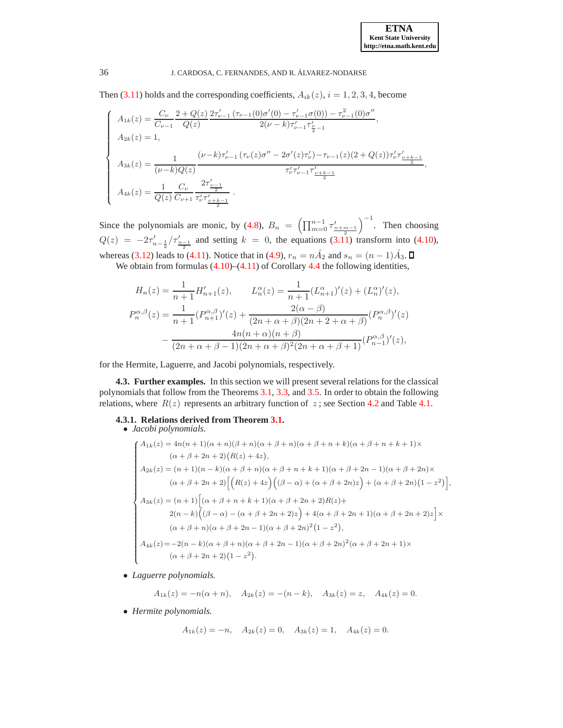Then [\(3.11\)](#page-6-2) holds and the corresponding coefficients,  $A_{ik}(z)$ ,  $i = 1, 2, 3, 4$ , become

$$
\begin{cases}\nA_{1k}(z) = \frac{C_{\nu}}{C_{\nu-1}} \frac{2 + Q(z)}{Q(z)} \frac{2\tau'_{\nu-1}(\tau_{\nu-1}(0)\sigma'(0) - \tau'_{\nu-1}\sigma(0)) - \tau^2_{\nu-1}(0)\sigma''}{2(\nu - k)\tau'_{\nu-1}\tau'_{\frac{\nu}{2}-1}} \\
A_{2k}(z) = 1, \\
A_{3k}(z) = \frac{1}{(\nu - k)Q(z)} \frac{(\nu - k)\tau'_{\nu-1}(\tau_{\nu}(z)\sigma'' - 2\sigma'(z)\tau'_{\nu}) - \tau_{\nu-1}(z)(2 + Q(z))\tau'_{\nu}\tau'_{\frac{\nu+k-1}{2}}}{\tau'_{\nu}\tau'_{\nu-1}\tau'_{\frac{\nu+k-1}{2}}}, \\
A_{4k}(z) = \frac{1}{Q(z)} \frac{C_{\nu}}{C_{\nu+1}} \frac{2\tau'_{\frac{\nu-1}{2}}}{\tau'_{\nu}\tau'_{\frac{\nu+k-1}{2}}}\n\end{cases}
$$

Since the polynomials are monic, by [\(4.8\)](#page-17-0),  $B_n = \left(\prod_{m=0}^{n-1} \tau_{\frac{n+m-1}{2}}^m\right)$  $\Big)^{-1}$ . Then choosing  $Q(z) = -2\tau_{n-\frac{1}{2}}^{\prime}/\tau_{\frac{n-1}{2}}^{\prime}$  and setting  $k = 0$ , the equations (3.1) transform into [\(4.10\)](#page-18-0), whereas [\(3.12\)](#page-6-1) leads to [\(4.11\)](#page-18-1). Notice that in [\(4.9\)](#page-18-2),  $r_n = n\hat{A}_2$  and  $s_n = (n-1)\hat{A}_3$ .

We obtain from formulas  $(4.10)$ – $(4.11)$  of Corollary [4.4](#page-18-3) the following identities,

$$
H_n(z) = \frac{1}{n+1} H'_{n+1}(z), \qquad L_n^{\alpha}(z) = \frac{1}{n+1} (L_{n+1}^{\alpha})'(z) + (L_n^{\alpha})'(z),
$$
  

$$
P_n^{\alpha,\beta}(z) = \frac{1}{n+1} (P_{n+1}^{\alpha,\beta})'(z) + \frac{2(\alpha-\beta)}{(2n+\alpha+\beta)(2n+2+\alpha+\beta)} (P_n^{\alpha,\beta})'(z)
$$
  

$$
-\frac{4n(n+\alpha)(n+\beta)}{(2n+\alpha+\beta-1)(2n+\alpha+\beta)^2(2n+\alpha+\beta+1)} (P_{n-1}^{\alpha,\beta})'(z),
$$

for the Hermite, Laguerre, and Jacobi polynomials, respectively.

**4.3. Further examples.** In this section we will present several relations for the classical polynomials that follow from the Theorems [3.1,](#page-3-7) [3.3,](#page-6-0) and [3.5.](#page-7-0) In order to obtain the following relations, where  $R(z)$  represents an arbitrary function of  $z$ ; see Section [4.2](#page-17-1) and Table [4.1.](#page-18-4)

# **4.3.1. Relations derived from Theorem [3.1.](#page-3-7)**

### • *Jacobi polynomials.*

$$
\begin{cases}\nA_{1k}(z) = 4n(n+1)(\alpha+n)(\beta+n)(\alpha+\beta+n)(\alpha+\beta+n+k)(\alpha+\beta+n+k+1)\times \\
(\alpha+\beta+2n+2)(R(z)+4z), \\
A_{2k}(z) = (n+1)(n-k)(\alpha+\beta+n)(\alpha+\beta+n+k+1)(\alpha+\beta+2n-1)(\alpha+\beta+2n)\times \\
(\alpha+\beta+2n+2)\Big[\Big(R(z)+4z\Big)\Big((\beta-\alpha)+(\alpha+\beta+2n)z\Big)+(\alpha+\beta+2n)(1-z^2\Big)\Big], \\
A_{3k}(z) = (n+1)\Big[(\alpha+\beta+n+k+1)(\alpha+\beta+2n+2)R(z)+ \\
2(n-k)\Big((\beta-\alpha)-(\alpha+\beta+2n+2)z\Big)+4(\alpha+\beta+2n+1)(\alpha+\beta+2n+2)z\Big]\times \\
(\alpha+\beta+n)(\alpha+\beta+2n-1)(\alpha+\beta+2n)^2(1-z^2), \\
A_{4k}(z) = -2(n-k)(\alpha+\beta+n)(\alpha+\beta+2n-1)(\alpha+\beta+2n)^2(\alpha+\beta+2n+1)\times \\
(\alpha+\beta+2n+2)(1-z^2).\n\end{cases}
$$

• *Laguerre polynomials.*

$$
A_{1k}(z) = -n(\alpha + n), \quad A_{2k}(z) = -(n - k), \quad A_{3k}(z) = z, \quad A_{4k}(z) = 0.
$$

• *Hermite polynomials.*

$$
A_{1k}(z) = -n
$$
,  $A_{2k}(z) = 0$ ,  $A_{3k}(z) = 1$ ,  $A_{4k}(z) = 0$ .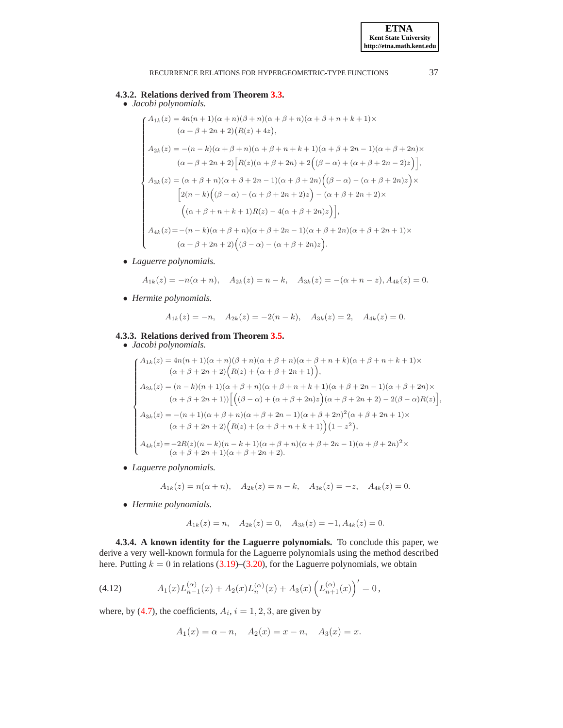### **4.3.2. Relations derived from Theorem [3.3.](#page-6-0)**

• *Jacobi polynomials.*

$$
\begin{cases}\nA_{1k}(z) = 4n(n+1)(\alpha+n)(\beta+n)(\alpha+\beta+n)(\alpha+\beta+n+k+1)\times \\
(\alpha+\beta+2n+2)(R(z)+4z), \\
A_{2k}(z) = -(n-k)(\alpha+\beta+n)(\alpha+\beta+n+k+1)(\alpha+\beta+2n-1)(\alpha+\beta+2n)\times \\
(\alpha+\beta+2n+2)[R(z)(\alpha+\beta+2n)+2((\beta-\alpha)+(\alpha+\beta+2n-2)z)], \\
A_{3k}(z) = (\alpha+\beta+n)(\alpha+\beta+2n-1)(\alpha+\beta+2n)((\beta-\alpha)-(\alpha+\beta+2n)z)\times \\
[2(n-k)((\beta-\alpha)-(\alpha+\beta+2n+2)z)-(\alpha+\beta+2n+2)\times \\
((\alpha+\beta+n+k+1)R(z)-4(\alpha+\beta+2n)z)], \\
A_{4k}(z) = -(n-k)(\alpha+\beta+n)(\alpha+\beta+2n-1)(\alpha+\beta+2n)(\alpha+\beta+2n+1)\times \\
(\alpha+\beta+2n+2)((\beta-\alpha)-(\alpha+\beta+2n)z).\n\end{cases}
$$

• *Laguerre polynomials.*

$$
A_{1k}(z) = -n(\alpha + n), \quad A_{2k}(z) = n - k, \quad A_{3k}(z) = -(\alpha + n - z), A_{4k}(z) = 0.
$$

• *Hermite polynomials.*

$$
A_{1k}(z) = -n
$$
,  $A_{2k}(z) = -2(n-k)$ ,  $A_{3k}(z) = 2$ ,  $A_{4k}(z) = 0$ .

### **4.3.3. Relations derived from Theorem [3.5.](#page-7-0)**

## • *Jacobi polynomials.*

$$
\begin{cases}\nA_{1k}(z) = 4n(n+1)(\alpha+n)(\beta+n)(\alpha+\beta+n)(\alpha+\beta+n+k)(\alpha+\beta+n+k+1)\times \\
(\alpha+\beta+2n+2)\Big(R(z)+(\alpha+\beta+2n+1)\Big),\\
A_{2k}(z) = (n-k)(n+1)(\alpha+\beta+n)(\alpha+\beta+n+k+1)(\alpha+\beta+2n-1)(\alpha+\beta+2n)\times \\
(\alpha+\beta+2n+1))\Big[\Big((\beta-\alpha)+(\alpha+\beta+2n)z\Big)(\alpha+\beta+2n+2)-2(\beta-\alpha)R(z)\Big],\\
A_{3k}(z) = -(n+1)(\alpha+\beta+n)(\alpha+\beta+2n-1)(\alpha+\beta+2n)^2(\alpha+\beta+2n+1)\times \\
(\alpha+\beta+2n+2)\Big(R(z)+(\alpha+\beta+n+k+1)\Big)(1-z^2),\\
A_{4k}(z) = -2R(z)(n-k)(n-k+1)(\alpha+\beta+n)(\alpha+\beta+2n-1)(\alpha+\beta+2n)^2\times \\
(\alpha+\beta+2n+1)(\alpha+\beta+2n+2).\n\end{cases}
$$

• *Laguerre polynomials.*

$$
A_{1k}(z) = n(\alpha + n), \quad A_{2k}(z) = n - k, \quad A_{3k}(z) = -z, \quad A_{4k}(z) = 0.
$$

• *Hermite polynomials.*

$$
A_{1k}(z) = n
$$
,  $A_{2k}(z) = 0$ ,  $A_{3k}(z) = -1$ ,  $A_{4k}(z) = 0$ .

**4.3.4. A known identity for the Laguerre polynomials.** To conclude this paper, we derive a very well-known formula for the Laguerre polynomials using the method described here. Putting  $k = 0$  in relations [\(3.19\)](#page-10-3)–[\(3.20\)](#page-10-4), for the Laguerre polynomials, we obtain

<span id="page-20-0"></span>(4.12) 
$$
A_1(x)L_{n-1}^{(\alpha)}(x) + A_2(x)L_n^{(\alpha)}(x) + A_3(x)\left(L_{n+1}^{(\alpha)}(x)\right)' = 0,
$$

where, by [\(4.7\)](#page-17-2), the coefficients,  $A_i$ ,  $i = 1, 2, 3$ , are given by

$$
A_1(x) = \alpha + n
$$
,  $A_2(x) = x - n$ ,  $A_3(x) = x$ .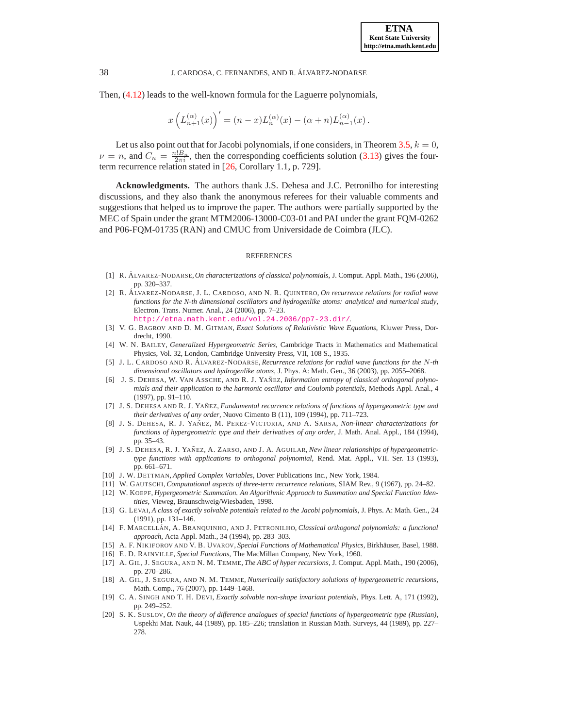Then, [\(4.12\)](#page-20-0) leads to the well-known formula for the Laguerre polynomials,

$$
x\left(L_{n+1}^{(\alpha)}(x)\right)' = (n-x)L_n^{(\alpha)}(x) - (\alpha+n)L_{n-1}^{(\alpha)}(x).
$$

Let us also point out that for Jacobi polynomials, if one considers, in Theorem [3.5,](#page-7-0)  $k = 0$ ,  $\nu = n$ , and  $C_n = \frac{n! B_n}{2\pi i}$ , then the corresponding coefficients solution [\(3.13\)](#page-7-1) gives the four-term recurrence relation stated in [[26,](#page-22-4) Corollary 1.1, p. 729].

**Acknowledgments.** The authors thank J.S. Dehesa and J.C. Petronilho for interesting discussions, and they also thank the anonymous referees for their valuable comments and suggestions that helped us to improve the paper. The authors were partially supported by the MEC of Spain under the grant MTM2006-13000-C03-01 and PAI under the grant FQM-0262 and P06-FQM-01735 (RAN) and CMUC from Universidade de Coimbra (JLC).

#### REFERENCES

- <span id="page-21-17"></span><span id="page-21-9"></span>[1] R. A´ LVAREZ-NODARSE,*On characterizations of classical polynomials*, J. Comput. Appl. Math., 196 (2006), pp. 320–337.
- [2] R. A´ LVAREZ-NODARSE, J. L. CARDOSO, AND N. R. QUINTERO, *On recurrence relations for radial wave functions for the N-th dimensional oscillators and hydrogenlike atoms: analytical and numerical study*, Electron. Trans. Numer. Anal., 24 (2006), pp. 7–23. <http://etna.math.kent.edu/vol.24.2006/pp7-23.dir/>.
- <span id="page-21-0"></span>[3] V. G. BAGROV AND D. M. GITMAN, *Exact Solutions of Relativistic Wave Equations*, Kluwer Press, Dordrecht, 1990.
- <span id="page-21-16"></span><span id="page-21-4"></span>[4] W. N. BAILEY, *Generalized Hypergeometric Series*, Cambridge Tracts in Mathematics and Mathematical Physics, Vol. 32, London, Cambridge University Press, VII, 108 S., 1935.
- [5] J. L. CARDOSO AND R. A´ LVAREZ-NODARSE, *Recurrence relations for radial wave functions for the* N*-th dimensional oscillators and hydrogenlike atoms*, J. Phys. A: Math. Gen., 36 (2003), pp. 2055–2068.
- <span id="page-21-5"></span>[6] J. S. DEHESA, W. VAN ASSCHE, AND R. J. YAÑEZ, *Information entropy of classical orthogonal polynomials and their application to the harmonic oscillator and Coulomb potentials*, Methods Appl. Anal., 4 (1997), pp. 91–110.
- <span id="page-21-6"></span>[7] J. S. DEHESA AND R. J. YAÑEZ, *Fundamental recurrence relations of functions of hypergeometric type and their derivatives of any order*, Nuovo Cimento B (11), 109 (1994), pp. 711–723.
- <span id="page-21-7"></span>[8] J. S. DEHESA, R. J. YAÑEZ, M. PEREZ-VICTORIA, AND A. SARSA, *Non-linear characterizations for functions of hypergeometric type and their derivatives of any order*, J. Math. Anal. Appl., 184 (1994), pp. 35–43.
- <span id="page-21-8"></span>[9] J. S. DEHESA, R. J. YAÑEZ, A. ZARSO, AND J. A. AGUILAR, *New linear relationships of hypergeometrictype functions with applications to orthogonal polynomial*, Rend. Mat. Appl., VII. Ser. 13 (1993), pp. 661–671.
- <span id="page-21-15"></span><span id="page-21-10"></span>[10] J. W. DETTMAN, *Applied Complex Variables,* Dover Publications Inc., New York, 1984.
- <span id="page-21-14"></span>[11] W. GAUTSCHI, *Computational aspects of three-term recurrence relations*, SIAM Rev., 9 (1967), pp. 24–82.
- [12] W. KOEPF, *Hypergeometric Summation. An Algorithmic Approach to Summation and Special Function Identities*, Vieweg, Braunschweig/Wiesbaden, 1998.
- <span id="page-21-1"></span>[13] G. LEVAI, *A class of exactly solvable potentials related to the Jacobi polynomials*, J. Phys. A: Math. Gen., 24 (1991), pp. 131–146.
- <span id="page-21-19"></span>[14] F. MARCELLÁN, A. BRANQUINHO, AND J. PETRONILHO, *Classical orthogonal polynomials: a functional approach*, Acta Appl. Math., 34 (1994), pp. 283–303.
- <span id="page-21-13"></span><span id="page-21-3"></span>[15] A. F. NIKIFOROV AND V. B. UVAROV, *Special Functions of Mathematical Physics*, Birkhäuser, Basel, 1988.
- <span id="page-21-11"></span>[16] E. D. RAINVILLE, *Special Functions,* The MacMillan Company, New York, 1960.
- [17] A. GIL, J. SEGURA, AND N. M. TEMME, *The ABC of hyper recursions*, J. Comput. Appl. Math., 190 (2006), pp. 270–286.
- <span id="page-21-12"></span>[18] A. GIL, J. SEGURA, AND N. M. TEMME, *Numerically satisfactory solutions of hypergeometric recursions*, Math. Comp., 76 (2007), pp. 1449–1468.
- <span id="page-21-18"></span><span id="page-21-2"></span>[19] C. A. SINGH AND T. H. DEVI, *Exactly solvable non-shape invariant potentials*, Phys. Lett. A, 171 (1992), pp. 249–252.
- [20] S. K. SUSLOV, *On the theory of difference analogues of special functions of hypergeometric type (Russian)*, Uspekhi Mat. Nauk, 44 (1989), pp. 185–226; translation in Russian Math. Surveys, 44 (1989), pp. 227– 278.